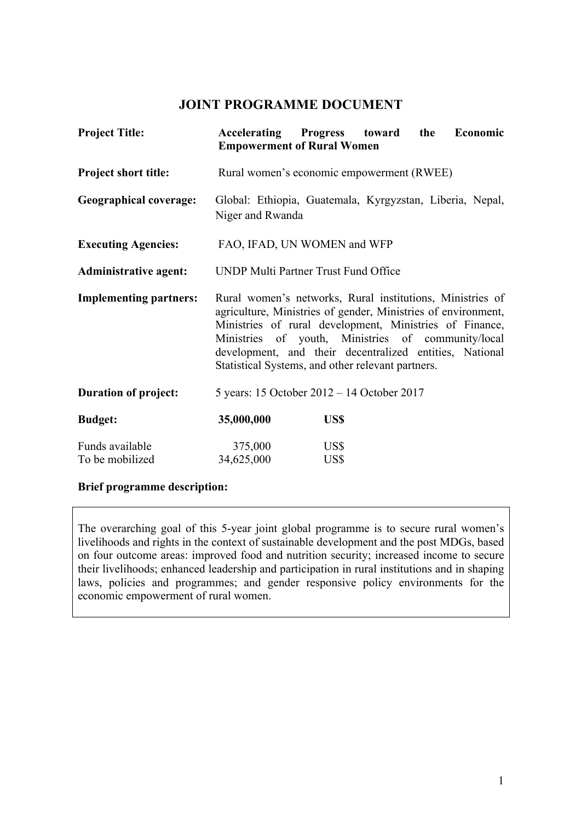# **JOINT PROGRAMME DOCUMENT**

| <b>Project Title:</b>              | Accelerating Progress toward the<br><b>Empowerment of Rural Women</b>                                                                                                                                                                                                                                                                                       |              |  | Economic |
|------------------------------------|-------------------------------------------------------------------------------------------------------------------------------------------------------------------------------------------------------------------------------------------------------------------------------------------------------------------------------------------------------------|--------------|--|----------|
| <b>Project short title:</b>        | Rural women's economic empowerment (RWEE)                                                                                                                                                                                                                                                                                                                   |              |  |          |
| <b>Geographical coverage:</b>      | Global: Ethiopia, Guatemala, Kyrgyzstan, Liberia, Nepal,<br>Niger and Rwanda                                                                                                                                                                                                                                                                                |              |  |          |
| <b>Executing Agencies:</b>         | FAO, IFAD, UN WOMEN and WFP                                                                                                                                                                                                                                                                                                                                 |              |  |          |
| <b>Administrative agent:</b>       | <b>UNDP Multi Partner Trust Fund Office</b>                                                                                                                                                                                                                                                                                                                 |              |  |          |
| <b>Implementing partners:</b>      | Rural women's networks, Rural institutions, Ministries of<br>agriculture, Ministries of gender, Ministries of environment,<br>Ministries of rural development, Ministries of Finance,<br>Ministries of youth, Ministries of community/local<br>development, and their decentralized entities, National<br>Statistical Systems, and other relevant partners. |              |  |          |
| <b>Duration of project:</b>        | 5 years: 15 October 2012 – 14 October 2017                                                                                                                                                                                                                                                                                                                  |              |  |          |
| <b>Budget:</b>                     | 35,000,000                                                                                                                                                                                                                                                                                                                                                  | US\$         |  |          |
| Funds available<br>To be mobilized | 375,000<br>34,625,000                                                                                                                                                                                                                                                                                                                                       | US\$<br>US\$ |  |          |

# **Brief programme description:**

The overarching goal of this 5-year joint global programme is to secure rural women's livelihoods and rights in the context of sustainable development and the post MDGs, based on four outcome areas: improved food and nutrition security; increased income to secure their livelihoods; enhanced leadership and participation in rural institutions and in shaping laws, policies and programmes; and gender responsive policy environments for the economic empowerment of rural women.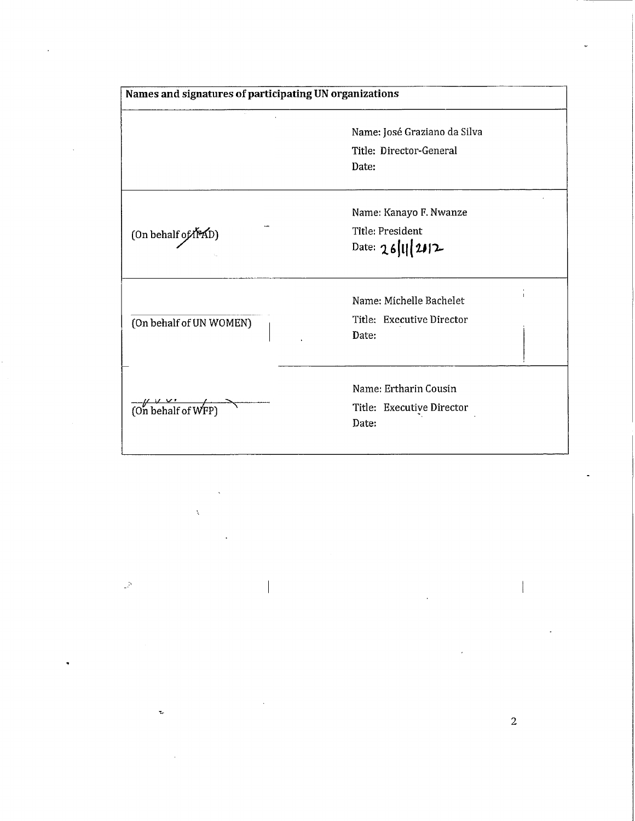| Names and signatures of participating UN organizations |                                      |
|--------------------------------------------------------|--------------------------------------|
|                                                        | Name: José Graziano da Silva         |
|                                                        | Title: Director-General<br>Date:     |
|                                                        | Name: Kanayo F. Nwanze               |
| (On behalf of <i>IFAD</i> )                            | Title: President<br>Date: 26/11/2012 |
|                                                        | Name: Michelle Bachelet              |
| (On behalf of UN WOMEN)                                | Title: Executive Director<br>Date:   |
|                                                        | Name: Ertharin Cousin                |
| (On behalf of WFP)                                     | Title: Executive Director<br>Date:   |

Þ

 $\overline{c}$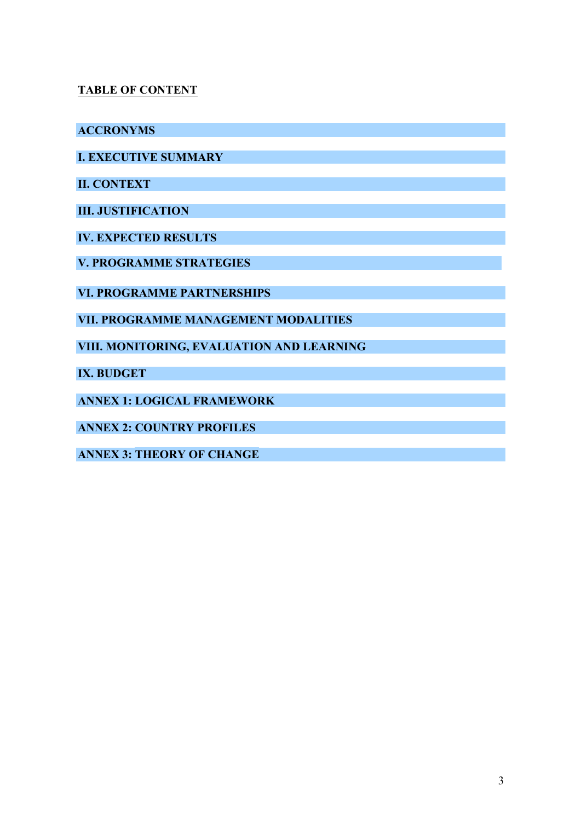# **TABLE OF CONTENT**

**ACCRONYMS**

**I. EXECUTIVE SUMMARY**

**II. CONTEXT** 

**III. JUSTIFICATION**

**IV. EXPECTED RESULTS** 

**V. PROGRAMME STRATEGIES**

**VI. PROGRAMME PARTNERSHIPS**

**VII. PROGRAMME MANAGEMENT MODALITIES**

**VIII. MONITORING, EVALUATION AND LEARNING**

**IX. BUDGET** 

**ANNEX 1: LOGICAL FRAMEWORK**

**ANNEX 2: COUNTRY PROFILES**

**ANNEX 3: THEORY OF CHANGE**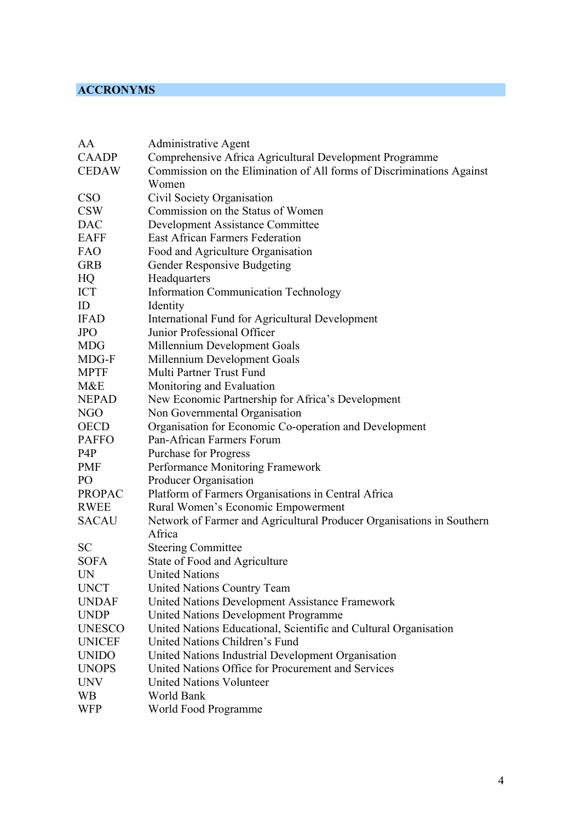# **ACCRONYMS**

| AA            | <b>Administrative Agent</b>                                           |
|---------------|-----------------------------------------------------------------------|
| <b>CAADP</b>  | Comprehensive Africa Agricultural Development Programme               |
| <b>CEDAW</b>  | Commission on the Elimination of All forms of Discriminations Against |
|               | Women                                                                 |
| <b>CSO</b>    | Civil Society Organisation                                            |
| <b>CSW</b>    | Commission on the Status of Women                                     |
| <b>DAC</b>    | <b>Development Assistance Committee</b>                               |
| <b>EAFF</b>   | East African Farmers Federation                                       |
| <b>FAO</b>    | Food and Agriculture Organisation                                     |
| <b>GRB</b>    | <b>Gender Responsive Budgeting</b>                                    |
| HQ            | Headquarters                                                          |
| <b>ICT</b>    | <b>Information Communication Technology</b>                           |
| ID            | Identity                                                              |
| <b>IFAD</b>   | International Fund for Agricultural Development                       |
| <b>JPO</b>    | Junior Professional Officer                                           |
| <b>MDG</b>    | Millennium Development Goals                                          |
| MDG-F         | Millennium Development Goals                                          |
| <b>MPTF</b>   | Multi Partner Trust Fund                                              |
| M&E           | Monitoring and Evaluation                                             |
| <b>NEPAD</b>  | New Economic Partnership for Africa's Development                     |
| NGO           | Non Governmental Organisation                                         |
| <b>OECD</b>   | Organisation for Economic Co-operation and Development                |
| <b>PAFFO</b>  | Pan-African Farmers Forum                                             |
| P4P           | <b>Purchase for Progress</b>                                          |
| <b>PMF</b>    | Performance Monitoring Framework                                      |
| PO            | Producer Organisation                                                 |
| <b>PROPAC</b> | Platform of Farmers Organisations in Central Africa                   |
| <b>RWEE</b>   | Rural Women's Economic Empowerment                                    |
| <b>SACAU</b>  | Network of Farmer and Agricultural Producer Organisations in Southern |
|               | Africa                                                                |
| <b>SC</b>     | <b>Steering Committee</b>                                             |
| <b>SOFA</b>   | State of Food and Agriculture                                         |
| <b>UN</b>     | <b>United Nations</b>                                                 |
| <b>UNCT</b>   | <b>United Nations Country Team</b>                                    |
| <b>UNDAF</b>  | United Nations Development Assistance Framework                       |
| <b>UNDP</b>   | <b>United Nations Development Programme</b>                           |
| <b>UNESCO</b> | United Nations Educational, Scientific and Cultural Organisation      |
| <b>UNICEF</b> | United Nations Children's Fund                                        |
| <b>UNIDO</b>  | United Nations Industrial Development Organisation                    |
| <b>UNOPS</b>  | United Nations Office for Procurement and Services                    |
| <b>UNV</b>    | <b>United Nations Volunteer</b>                                       |
| <b>WB</b>     | World Bank                                                            |
| <b>WFP</b>    | World Food Programme                                                  |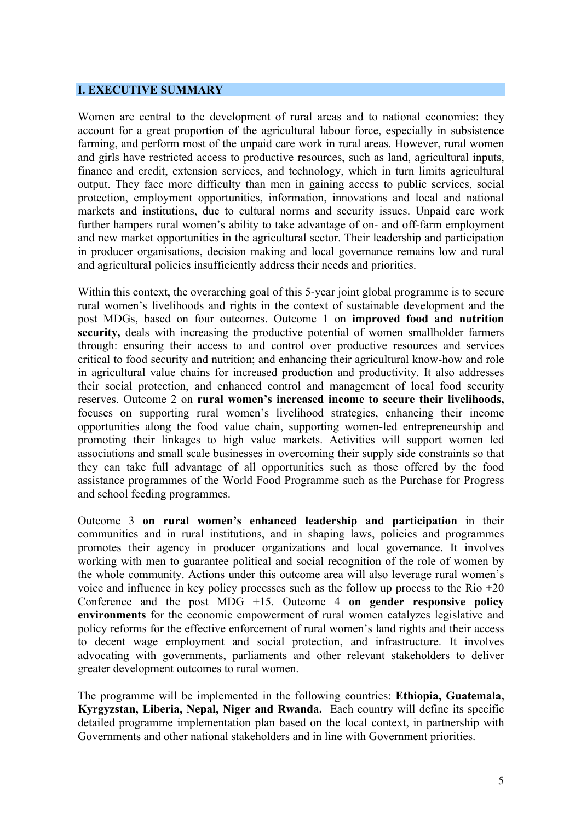#### **I. EXECUTIVE SUMMARY**

Women are central to the development of rural areas and to national economies: they account for a great proportion of the agricultural labour force, especially in subsistence farming, and perform most of the unpaid care work in rural areas. However, rural women and girls have restricted access to productive resources, such as land, agricultural inputs, finance and credit, extension services, and technology, which in turn limits agricultural output. They face more difficulty than men in gaining access to public services, social protection, employment opportunities, information, innovations and local and national markets and institutions, due to cultural norms and security issues. Unpaid care work further hampers rural women's ability to take advantage of on- and off-farm employment and new market opportunities in the agricultural sector. Their leadership and participation in producer organisations, decision making and local governance remains low and rural and agricultural policies insufficiently address their needs and priorities.

Within this context, the overarching goal of this 5-year joint global programme is to secure rural women's livelihoods and rights in the context of sustainable development and the post MDGs, based on four outcomes. Outcome 1 on **improved food and nutrition security,** deals with increasing the productive potential of women smallholder farmers through: ensuring their access to and control over productive resources and services critical to food security and nutrition; and enhancing their agricultural know-how and role in agricultural value chains for increased production and productivity. It also addresses their social protection, and enhanced control and management of local food security reserves. Outcome 2 on **rural women's increased income to secure their livelihoods,** focuses on supporting rural women's livelihood strategies, enhancing their income opportunities along the food value chain, supporting women-led entrepreneurship and promoting their linkages to high value markets. Activities will support women led associations and small scale businesses in overcoming their supply side constraints so that they can take full advantage of all opportunities such as those offered by the food assistance programmes of the World Food Programme such as the Purchase for Progress and school feeding programmes.

Outcome 3 **on rural women's enhanced leadership and participation** in their communities and in rural institutions, and in shaping laws, policies and programmes promotes their agency in producer organizations and local governance. It involves working with men to guarantee political and social recognition of the role of women by the whole community. Actions under this outcome area will also leverage rural women's voice and influence in key policy processes such as the follow up process to the Rio  $+20$ Conference and the post MDG +15. Outcome 4 **on gender responsive policy environments** for the economic empowerment of rural women catalyzes legislative and policy reforms for the effective enforcement of rural women's land rights and their access to decent wage employment and social protection, and infrastructure. It involves advocating with governments, parliaments and other relevant stakeholders to deliver greater development outcomes to rural women.

The programme will be implemented in the following countries: **Ethiopia, Guatemala, Kyrgyzstan, Liberia, Nepal, Niger and Rwanda.** Each country will define its specific detailed programme implementation plan based on the local context, in partnership with Governments and other national stakeholders and in line with Government priorities.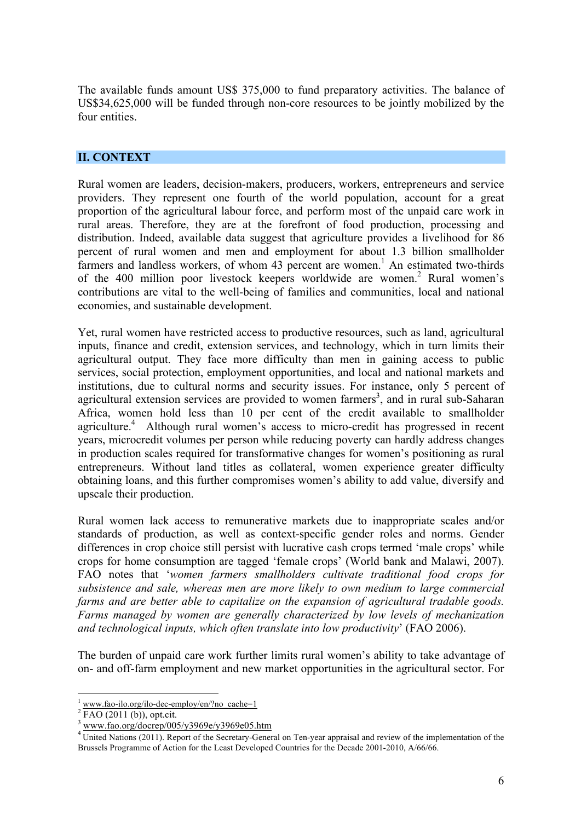The available funds amount US\$ 375,000 to fund preparatory activities. The balance of US\$34,625,000 will be funded through non-core resources to be jointly mobilized by the four entities.

#### **II. CONTEXT**

Rural women are leaders, decision-makers, producers, workers, entrepreneurs and service providers. They represent one fourth of the world population, account for a great proportion of the agricultural labour force, and perform most of the unpaid care work in rural areas. Therefore, they are at the forefront of food production, processing and distribution. Indeed, available data suggest that agriculture provides a livelihood for 86 percent of rural women and men and employment for about 1.3 billion smallholder farmers and landless workers, of whom 43 percent are women.<sup>1</sup> An estimated two-thirds of the 400 million poor livestock keepers worldwide are women.<sup>2</sup> Rural women's contributions are vital to the well-being of families and communities, local and national economies, and sustainable development.

Yet, rural women have restricted access to productive resources, such as land, agricultural inputs, finance and credit, extension services, and technology, which in turn limits their agricultural output. They face more difficulty than men in gaining access to public services, social protection, employment opportunities, and local and national markets and institutions, due to cultural norms and security issues. For instance, only 5 percent of agricultural extension services are provided to women farmers<sup>3</sup>, and in rural sub-Saharan Africa, women hold less than 10 per cent of the credit available to smallholder agriculture.<sup>4</sup> Although rural women's access to micro-credit has progressed in recent years, microcredit volumes per person while reducing poverty can hardly address changes in production scales required for transformative changes for women's positioning as rural entrepreneurs. Without land titles as collateral, women experience greater difficulty obtaining loans, and this further compromises women's ability to add value, diversify and upscale their production.

Rural women lack access to remunerative markets due to inappropriate scales and/or standards of production, as well as context-specific gender roles and norms. Gender differences in crop choice still persist with lucrative cash crops termed 'male crops' while crops for home consumption are tagged 'female crops' (World bank and Malawi, 2007). FAO notes that '*women farmers smallholders cultivate traditional food crops for subsistence and sale, whereas men are more likely to own medium to large commercial farms and are better able to capitalize on the expansion of agricultural tradable goods. Farms managed by women are generally characterized by low levels of mechanization and technological inputs, which often translate into low productivity*' (FAO 2006).

The burden of unpaid care work further limits rural women's ability to take advantage of on- and off-farm employment and new market opportunities in the agricultural sector. For

 $\frac{1}{2}$  www.fao-ilo.org/ilo-dec-employ/en/?no\_cache=1<br> $\frac{2}{2}$  FAO (2011 (b)), opt.cit.

<sup>3</sup> www.fao.org/docrep/005/y3969e/y3969e05.htm

<sup>&</sup>lt;sup>4</sup> United Nations (2011). Report of the Secretary-General on Ten-year appraisal and review of the implementation of the Brussels Programme of Action for the Least Developed Countries for the Decade 2001-2010, A/66/66.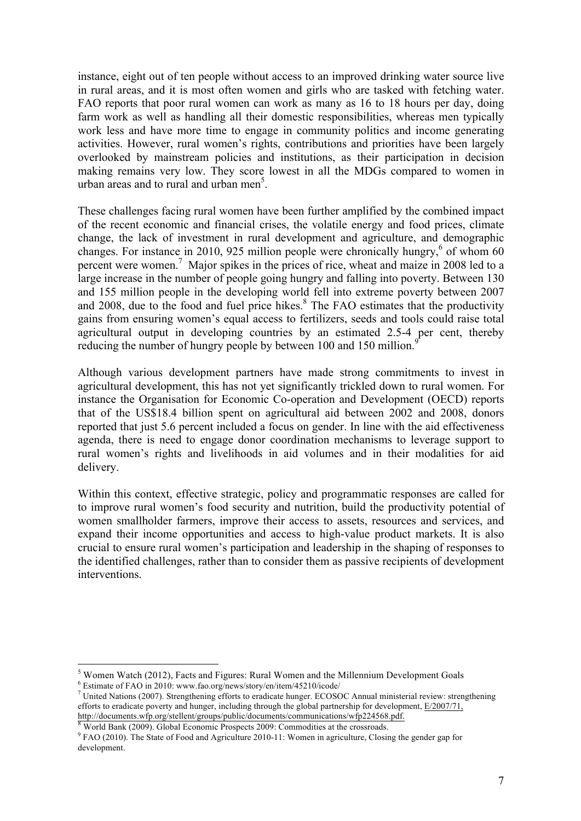instance, eight out of ten people without access to an improved drinking water source live in rural areas, and it is most often women and girls who are tasked with fetching water. FAO reports that poor rural women can work as many as 16 to 18 hours per day, doing farm work as well as handling all their domestic responsibilities, whereas men typically work less and have more time to engage in community politics and income generating activities. However, rural women's rights, contributions and priorities have been largely overlooked by mainstream policies and institutions, as their participation in decision making remains very low. They score lowest in all the MDGs compared to women in urban areas and to rural and urban men<sup>5</sup>.

These challenges facing rural women have been further amplified by the combined impact of the recent economic and financial crises, the volatile energy and food prices, climate change, the lack of investment in rural development and agriculture, and demographic changes. For instance in 2010, 925 million people were chronically hungry,<sup>6</sup> of whom 60 percent were women.<sup>7</sup> Major spikes in the prices of rice, wheat and maize in 2008 led to a large increase in the number of people going hungry and falling into poverty. Between 130 and 155 million people in the developing world fell into extreme poverty between 2007 and 2008, due to the food and fuel price hikes. $8\text{ The FAO estimates that the productivity}$ gains from ensuring women's equal access to fertilizers, seeds and tools could raise total agricultural output in developing countries by an estimated 2.5-4 per cent, thereby reducing the number of hungry people by between 100 and 150 million.<sup>9</sup>

Although various development partners have made strong commitments to invest in agricultural development, this has not yet significantly trickled down to rural women. For instance the Organisation for Economic Co-operation and Development (OECD) reports that of the US\$18.4 billion spent on agricultural aid between 2002 and 2008, donors reported that just 5.6 percent included a focus on gender. In line with the aid effectiveness agenda, there is need to engage donor coordination mechanisms to leverage support to rural women's rights and livelihoods in aid volumes and in their modalities for aid delivery.

Within this context, effective strategic, policy and programmatic responses are called for to improve rural women's food security and nutrition, build the productivity potential of women smallholder farmers, improve their access to assets, resources and services, and expand their income opportunities and access to high-value product markets. It is also crucial to ensure rural women's participation and leadership in the shaping of responses to the identified challenges, rather than to consider them as passive recipients of development interventions.

<sup>&</sup>lt;sup>5</sup> Women Watch (2012), Facts and Figures: Rural Women and the Millennium Development Goals  $\frac{6}{5}$  Estimate of FAO in 2010: www.fao.org/news/story/en/item/45210/icode/

<sup>&</sup>lt;sup>7</sup> United Nations (2007). Strengthening efforts to eradicate hunger. ECOSOC Annual ministerial review: strengthening efforts to eradicate poverty and hunger, including through the global partnership for development, E/2007/71,

http://documents.wfp.org/stellent/groups/public/documents/communications/wfp224568.pdf. <sup>8</sup> World Bank (2009). Global Economic Prospects 2009: Commodities at the crossroads.

<sup>&</sup>lt;sup>9</sup> FAO (2010). The State of Food and Agriculture 2010-11: Women in agriculture, Closing the gender gap for development.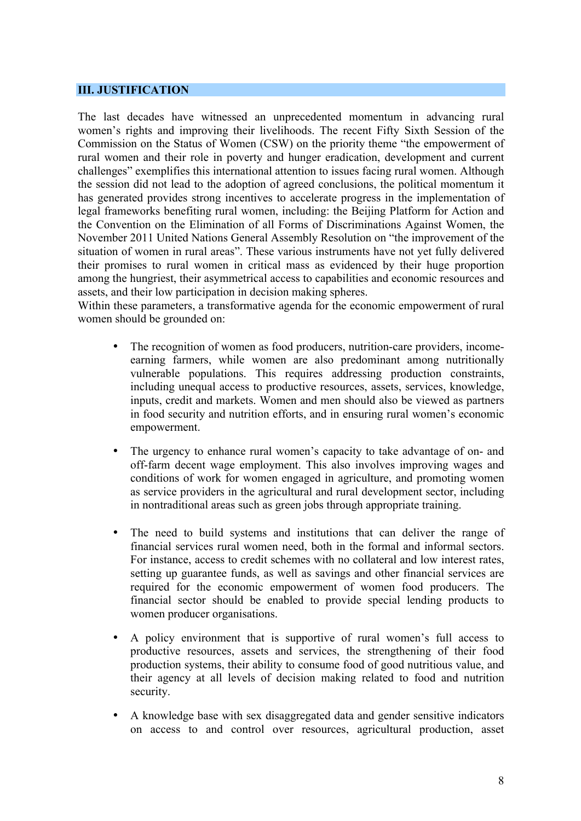#### **III. JUSTIFICATION**

The last decades have witnessed an unprecedented momentum in advancing rural women's rights and improving their livelihoods. The recent Fifty Sixth Session of the Commission on the Status of Women (CSW) on the priority theme "the empowerment of rural women and their role in poverty and hunger eradication, development and current challenges" exemplifies this international attention to issues facing rural women. Although the session did not lead to the adoption of agreed conclusions, the political momentum it has generated provides strong incentives to accelerate progress in the implementation of legal frameworks benefiting rural women, including: the Beijing Platform for Action and the Convention on the Elimination of all Forms of Discriminations Against Women, the November 2011 United Nations General Assembly Resolution on "the improvement of the situation of women in rural areas". These various instruments have not yet fully delivered their promises to rural women in critical mass as evidenced by their huge proportion among the hungriest, their asymmetrical access to capabilities and economic resources and assets, and their low participation in decision making spheres.

Within these parameters, a transformative agenda for the economic empowerment of rural women should be grounded on:

- The recognition of women as food producers, nutrition-care providers, incomeearning farmers, while women are also predominant among nutritionally vulnerable populations. This requires addressing production constraints, including unequal access to productive resources, assets, services, knowledge, inputs, credit and markets. Women and men should also be viewed as partners in food security and nutrition efforts, and in ensuring rural women's economic empowerment.
- The urgency to enhance rural women's capacity to take advantage of on- and off-farm decent wage employment. This also involves improving wages and conditions of work for women engaged in agriculture, and promoting women as service providers in the agricultural and rural development sector, including in nontraditional areas such as green jobs through appropriate training.
- The need to build systems and institutions that can deliver the range of financial services rural women need, both in the formal and informal sectors. For instance, access to credit schemes with no collateral and low interest rates, setting up guarantee funds, as well as savings and other financial services are required for the economic empowerment of women food producers. The financial sector should be enabled to provide special lending products to women producer organisations.
- A policy environment that is supportive of rural women's full access to productive resources, assets and services, the strengthening of their food production systems, their ability to consume food of good nutritious value, and their agency at all levels of decision making related to food and nutrition security.
- A knowledge base with sex disaggregated data and gender sensitive indicators on access to and control over resources, agricultural production, asset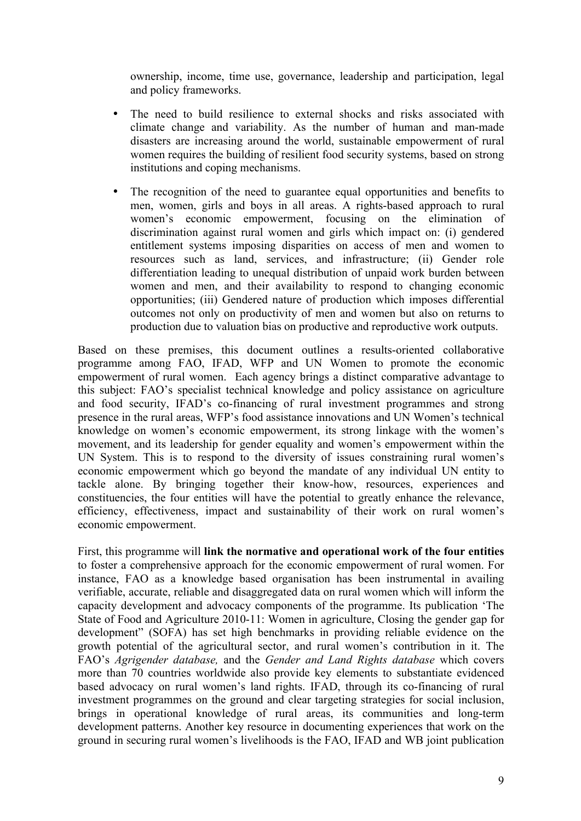ownership, income, time use, governance, leadership and participation, legal and policy frameworks.

- The need to build resilience to external shocks and risks associated with climate change and variability. As the number of human and man-made disasters are increasing around the world, sustainable empowerment of rural women requires the building of resilient food security systems, based on strong institutions and coping mechanisms.
- The recognition of the need to guarantee equal opportunities and benefits to men, women, girls and boys in all areas. A rights-based approach to rural women's economic empowerment, focusing on the elimination of discrimination against rural women and girls which impact on: (i) gendered entitlement systems imposing disparities on access of men and women to resources such as land, services, and infrastructure; (ii) Gender role differentiation leading to unequal distribution of unpaid work burden between women and men, and their availability to respond to changing economic opportunities; (iii) Gendered nature of production which imposes differential outcomes not only on productivity of men and women but also on returns to production due to valuation bias on productive and reproductive work outputs.

Based on these premises, this document outlines a results-oriented collaborative programme among FAO, IFAD, WFP and UN Women to promote the economic empowerment of rural women. Each agency brings a distinct comparative advantage to this subject: FAO's specialist technical knowledge and policy assistance on agriculture and food security, IFAD's co-financing of rural investment programmes and strong presence in the rural areas, WFP's food assistance innovations and UN Women's technical knowledge on women's economic empowerment, its strong linkage with the women's movement, and its leadership for gender equality and women's empowerment within the UN System. This is to respond to the diversity of issues constraining rural women's economic empowerment which go beyond the mandate of any individual UN entity to tackle alone. By bringing together their know-how, resources, experiences and constituencies, the four entities will have the potential to greatly enhance the relevance, efficiency, effectiveness, impact and sustainability of their work on rural women's economic empowerment.

First, this programme will **link the normative and operational work of the four entities** to foster a comprehensive approach for the economic empowerment of rural women. For instance, FAO as a knowledge based organisation has been instrumental in availing verifiable, accurate, reliable and disaggregated data on rural women which will inform the capacity development and advocacy components of the programme. Its publication 'The State of Food and Agriculture 2010-11: Women in agriculture, Closing the gender gap for development" (SOFA) has set high benchmarks in providing reliable evidence on the growth potential of the agricultural sector, and rural women's contribution in it. The FAO's *Agrigender database,* and the *Gender and Land Rights database* which covers more than 70 countries worldwide also provide key elements to substantiate evidenced based advocacy on rural women's land rights. IFAD, through its co-financing of rural investment programmes on the ground and clear targeting strategies for social inclusion, brings in operational knowledge of rural areas, its communities and long-term development patterns. Another key resource in documenting experiences that work on the ground in securing rural women's livelihoods is the FAO, IFAD and WB joint publication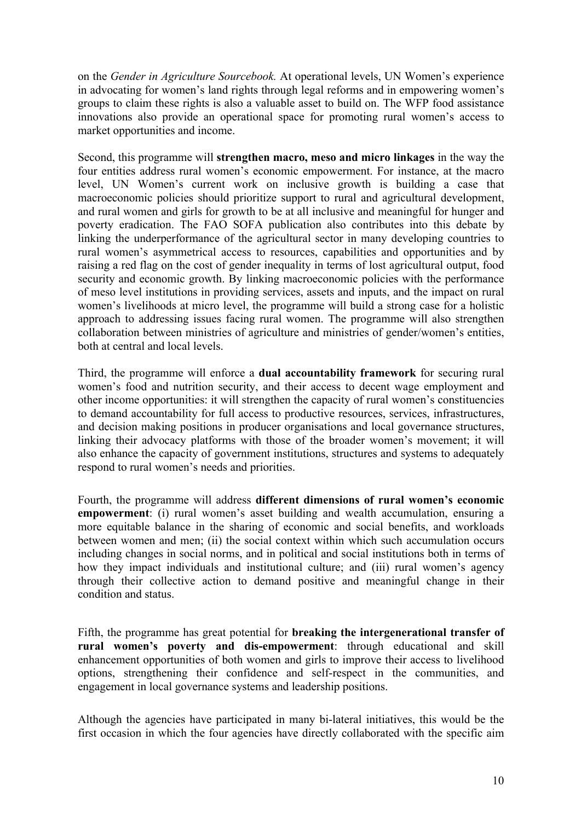on the *Gender in Agriculture Sourcebook.* At operational levels, UN Women's experience in advocating for women's land rights through legal reforms and in empowering women's groups to claim these rights is also a valuable asset to build on. The WFP food assistance innovations also provide an operational space for promoting rural women's access to market opportunities and income.

Second, this programme will **strengthen macro, meso and micro linkages** in the way the four entities address rural women's economic empowerment. For instance, at the macro level, UN Women's current work on inclusive growth is building a case that macroeconomic policies should prioritize support to rural and agricultural development, and rural women and girls for growth to be at all inclusive and meaningful for hunger and poverty eradication. The FAO SOFA publication also contributes into this debate by linking the underperformance of the agricultural sector in many developing countries to rural women's asymmetrical access to resources, capabilities and opportunities and by raising a red flag on the cost of gender inequality in terms of lost agricultural output, food security and economic growth. By linking macroeconomic policies with the performance of meso level institutions in providing services, assets and inputs, and the impact on rural women's livelihoods at micro level, the programme will build a strong case for a holistic approach to addressing issues facing rural women. The programme will also strengthen collaboration between ministries of agriculture and ministries of gender/women's entities, both at central and local levels.

Third, the programme will enforce a **dual accountability framework** for securing rural women's food and nutrition security, and their access to decent wage employment and other income opportunities: it will strengthen the capacity of rural women's constituencies to demand accountability for full access to productive resources, services, infrastructures, and decision making positions in producer organisations and local governance structures, linking their advocacy platforms with those of the broader women's movement; it will also enhance the capacity of government institutions, structures and systems to adequately respond to rural women's needs and priorities.

Fourth, the programme will address **different dimensions of rural women's economic empowerment**: (i) rural women's asset building and wealth accumulation, ensuring a more equitable balance in the sharing of economic and social benefits, and workloads between women and men; (ii) the social context within which such accumulation occurs including changes in social norms, and in political and social institutions both in terms of how they impact individuals and institutional culture; and (iii) rural women's agency through their collective action to demand positive and meaningful change in their condition and status.

Fifth, the programme has great potential for **breaking the intergenerational transfer of rural women's poverty and dis-empowerment**: through educational and skill enhancement opportunities of both women and girls to improve their access to livelihood options, strengthening their confidence and self-respect in the communities, and engagement in local governance systems and leadership positions.

Although the agencies have participated in many bi-lateral initiatives, this would be the first occasion in which the four agencies have directly collaborated with the specific aim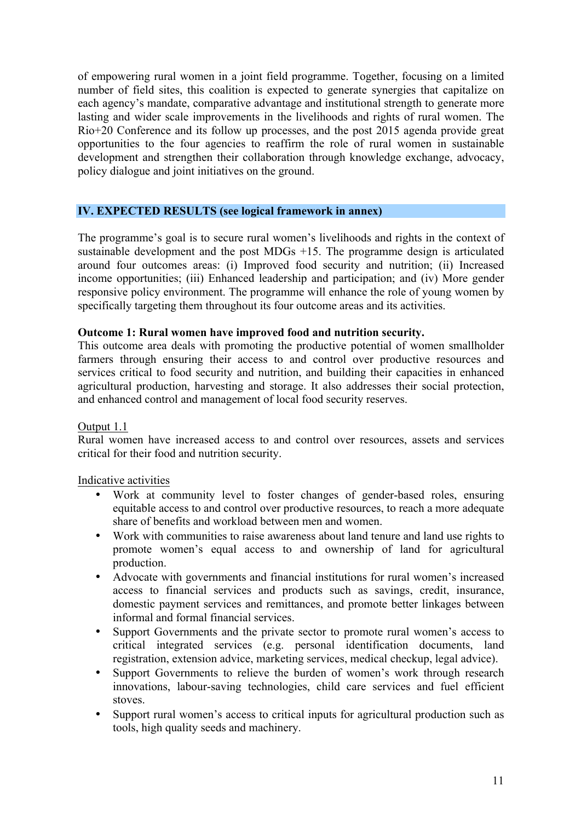of empowering rural women in a joint field programme. Together, focusing on a limited number of field sites, this coalition is expected to generate synergies that capitalize on each agency's mandate, comparative advantage and institutional strength to generate more lasting and wider scale improvements in the livelihoods and rights of rural women. The Rio+20 Conference and its follow up processes, and the post 2015 agenda provide great opportunities to the four agencies to reaffirm the role of rural women in sustainable development and strengthen their collaboration through knowledge exchange, advocacy, policy dialogue and joint initiatives on the ground.

#### **IV. EXPECTED RESULTS (see logical framework in annex)**

The programme's goal is to secure rural women's livelihoods and rights in the context of sustainable development and the post MDGs +15. The programme design is articulated around four outcomes areas: (i) Improved food security and nutrition; (ii) Increased income opportunities; (iii) Enhanced leadership and participation; and (iv) More gender responsive policy environment. The programme will enhance the role of young women by specifically targeting them throughout its four outcome areas and its activities.

#### **Outcome 1: Rural women have improved food and nutrition security.**

This outcome area deals with promoting the productive potential of women smallholder farmers through ensuring their access to and control over productive resources and services critical to food security and nutrition, and building their capacities in enhanced agricultural production, harvesting and storage. It also addresses their social protection, and enhanced control and management of local food security reserves.

#### Output 1.1

Rural women have increased access to and control over resources, assets and services critical for their food and nutrition security.

#### Indicative activities

- Work at community level to foster changes of gender-based roles, ensuring equitable access to and control over productive resources, to reach a more adequate share of benefits and workload between men and women.
- Work with communities to raise awareness about land tenure and land use rights to promote women's equal access to and ownership of land for agricultural production.
- Advocate with governments and financial institutions for rural women's increased access to financial services and products such as savings, credit, insurance, domestic payment services and remittances, and promote better linkages between informal and formal financial services.
- Support Governments and the private sector to promote rural women's access to critical integrated services (e.g. personal identification documents, land registration, extension advice, marketing services, medical checkup, legal advice).
- Support Governments to relieve the burden of women's work through research innovations, labour-saving technologies, child care services and fuel efficient stoves.
- Support rural women's access to critical inputs for agricultural production such as tools, high quality seeds and machinery.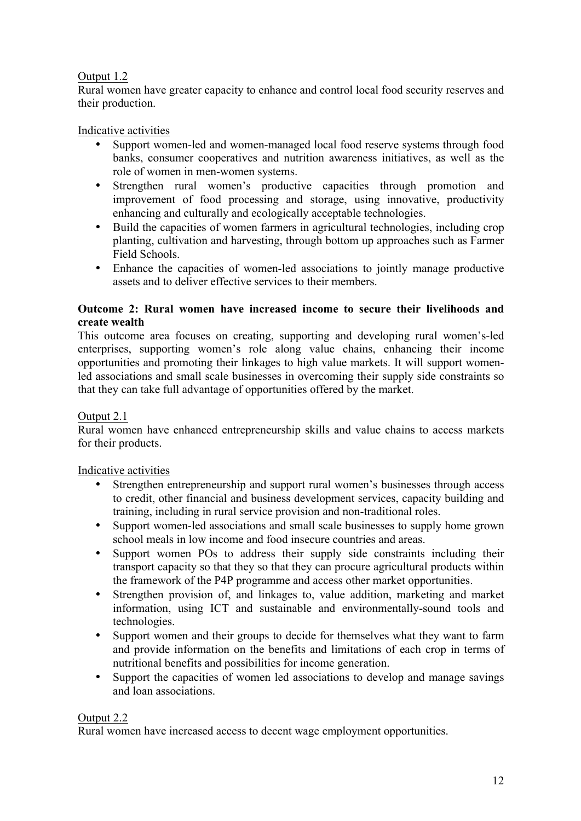# Output 1.2

Rural women have greater capacity to enhance and control local food security reserves and their production.

# Indicative activities

- Support women-led and women-managed local food reserve systems through food banks, consumer cooperatives and nutrition awareness initiatives, as well as the role of women in men-women systems.
- Strengthen rural women's productive capacities through promotion and improvement of food processing and storage, using innovative, productivity enhancing and culturally and ecologically acceptable technologies.
- Build the capacities of women farmers in agricultural technologies, including crop planting, cultivation and harvesting, through bottom up approaches such as Farmer Field Schools.
- Enhance the capacities of women-led associations to jointly manage productive assets and to deliver effective services to their members.

#### **Outcome 2: Rural women have increased income to secure their livelihoods and create wealth**

This outcome area focuses on creating, supporting and developing rural women's-led enterprises, supporting women's role along value chains, enhancing their income opportunities and promoting their linkages to high value markets. It will support womenled associations and small scale businesses in overcoming their supply side constraints so that they can take full advantage of opportunities offered by the market.

#### Output 2.1

Rural women have enhanced entrepreneurship skills and value chains to access markets for their products.

#### Indicative activities

- Strengthen entrepreneurship and support rural women's businesses through access to credit, other financial and business development services, capacity building and training, including in rural service provision and non-traditional roles.
- Support women-led associations and small scale businesses to supply home grown school meals in low income and food insecure countries and areas.
- Support women POs to address their supply side constraints including their transport capacity so that they so that they can procure agricultural products within the framework of the P4P programme and access other market opportunities.
- Strengthen provision of, and linkages to, value addition, marketing and market information, using ICT and sustainable and environmentally-sound tools and technologies.
- Support women and their groups to decide for themselves what they want to farm and provide information on the benefits and limitations of each crop in terms of nutritional benefits and possibilities for income generation.
- Support the capacities of women led associations to develop and manage savings and loan associations.

#### Output 2.2

Rural women have increased access to decent wage employment opportunities.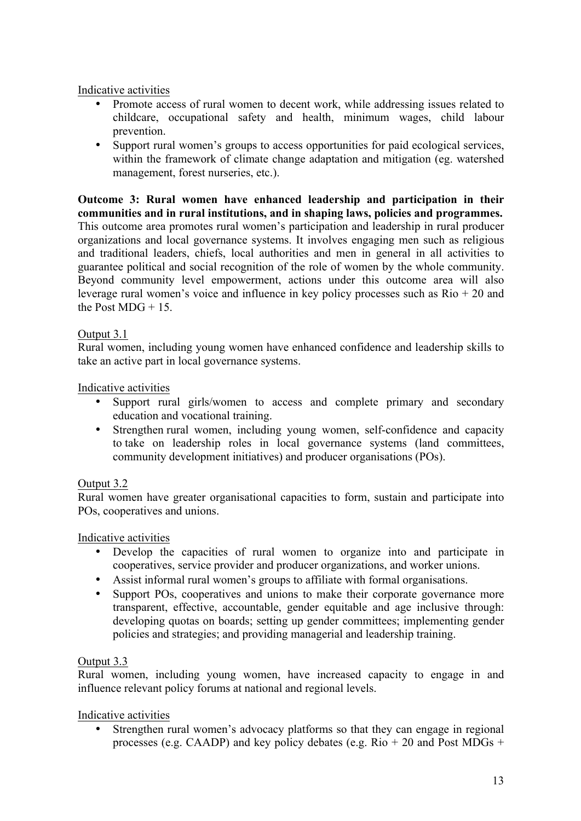## Indicative activities

- Promote access of rural women to decent work, while addressing issues related to childcare, occupational safety and health, minimum wages, child labour prevention.
- Support rural women's groups to access opportunities for paid ecological services, within the framework of climate change adaptation and mitigation (eg. watershed management, forest nurseries, etc.).

**Outcome 3: Rural women have enhanced leadership and participation in their communities and in rural institutions, and in shaping laws, policies and programmes.** This outcome area promotes rural women's participation and leadership in rural producer organizations and local governance systems. It involves engaging men such as religious and traditional leaders, chiefs, local authorities and men in general in all activities to guarantee political and social recognition of the role of women by the whole community. Beyond community level empowerment, actions under this outcome area will also leverage rural women's voice and influence in key policy processes such as  $\text{Rio} + 20$  and the Post  $MDG + 15$ .

# Output 3.1

Rural women, including young women have enhanced confidence and leadership skills to take an active part in local governance systems.

#### Indicative activities

- Support rural girls/women to access and complete primary and secondary education and vocational training.
- Strengthen rural women, including young women, self-confidence and capacity to take on leadership roles in local governance systems (land committees, community development initiatives) and producer organisations (POs).

#### Output 3.2

Rural women have greater organisational capacities to form, sustain and participate into POs, cooperatives and unions.

#### Indicative activities

- Develop the capacities of rural women to organize into and participate in cooperatives, service provider and producer organizations, and worker unions.
- Assist informal rural women's groups to affiliate with formal organisations.
- Support POs, cooperatives and unions to make their corporate governance more transparent, effective, accountable, gender equitable and age inclusive through: developing quotas on boards; setting up gender committees; implementing gender policies and strategies; and providing managerial and leadership training.

#### Output 3.3

Rural women, including young women, have increased capacity to engage in and influence relevant policy forums at national and regional levels.

#### Indicative activities

Strengthen rural women's advocacy platforms so that they can engage in regional processes (e.g. CAADP) and key policy debates (e.g.  $Rio + 20$  and Post MDGs +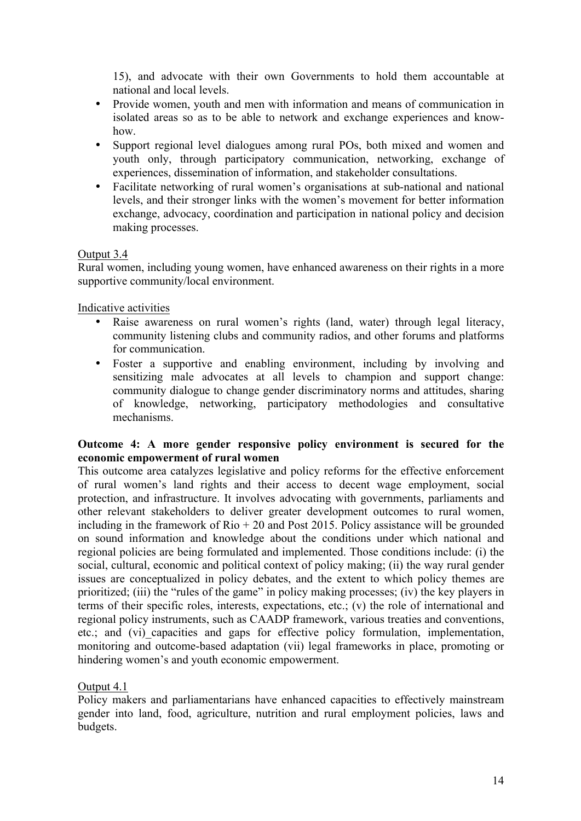15), and advocate with their own Governments to hold them accountable at national and local levels.

- Provide women, youth and men with information and means of communication in isolated areas so as to be able to network and exchange experiences and knowhow.
- Support regional level dialogues among rural POs, both mixed and women and youth only, through participatory communication, networking, exchange of experiences, dissemination of information, and stakeholder consultations.
- Facilitate networking of rural women's organisations at sub-national and national levels, and their stronger links with the women's movement for better information exchange, advocacy, coordination and participation in national policy and decision making processes.

#### Output 3.4

Rural women, including young women, have enhanced awareness on their rights in a more supportive community/local environment.

Indicative activities

- Raise awareness on rural women's rights (land, water) through legal literacy, community listening clubs and community radios, and other forums and platforms for communication.
- Foster a supportive and enabling environment, including by involving and sensitizing male advocates at all levels to champion and support change: community dialogue to change gender discriminatory norms and attitudes, sharing of knowledge, networking, participatory methodologies and consultative mechanisms.

#### **Outcome 4: A more gender responsive policy environment is secured for the economic empowerment of rural women**

This outcome area catalyzes legislative and policy reforms for the effective enforcement of rural women's land rights and their access to decent wage employment, social protection, and infrastructure. It involves advocating with governments, parliaments and other relevant stakeholders to deliver greater development outcomes to rural women, including in the framework of  $\text{Rio} + 20$  and Post 2015. Policy assistance will be grounded on sound information and knowledge about the conditions under which national and regional policies are being formulated and implemented. Those conditions include: (i) the social, cultural, economic and political context of policy making; (ii) the way rural gender issues are conceptualized in policy debates, and the extent to which policy themes are prioritized; (iii) the "rules of the game" in policy making processes; (iv) the key players in terms of their specific roles, interests, expectations, etc.; (v) the role of international and regional policy instruments, such as CAADP framework, various treaties and conventions, etc.; and (vi)\_capacities and gaps for effective policy formulation, implementation, monitoring and outcome-based adaptation (vii) legal frameworks in place, promoting or hindering women's and youth economic empowerment.

#### Output 4.1

Policy makers and parliamentarians have enhanced capacities to effectively mainstream gender into land, food, agriculture, nutrition and rural employment policies, laws and budgets.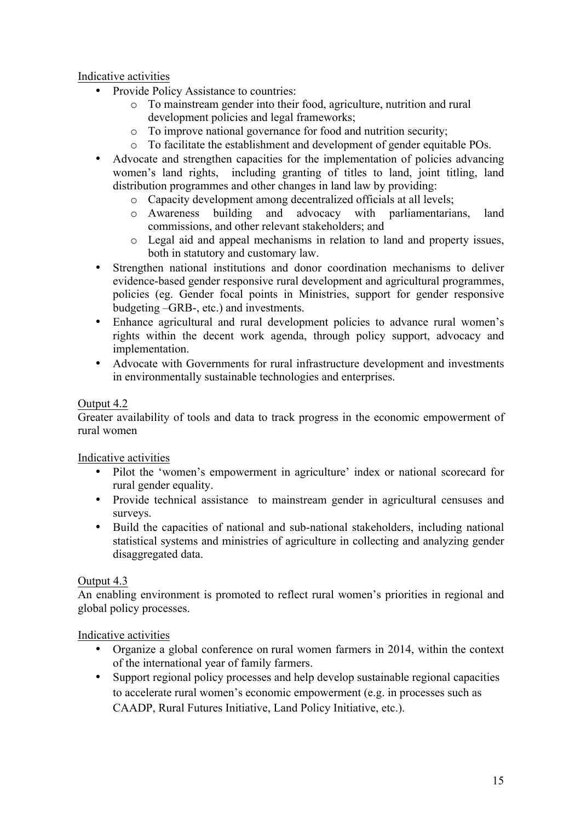### Indicative activities

- Provide Policy Assistance to countries:
	- o To mainstream gender into their food, agriculture, nutrition and rural development policies and legal frameworks;
	- o To improve national governance for food and nutrition security;
	- o To facilitate the establishment and development of gender equitable POs.
- Advocate and strengthen capacities for the implementation of policies advancing women's land rights, including granting of titles to land, joint titling, land distribution programmes and other changes in land law by providing:
	- o Capacity development among decentralized officials at all levels;
	- o Awareness building and advocacy with parliamentarians, land commissions, and other relevant stakeholders; and
	- o Legal aid and appeal mechanisms in relation to land and property issues, both in statutory and customary law.
- Strengthen national institutions and donor coordination mechanisms to deliver evidence-based gender responsive rural development and agricultural programmes, policies (eg. Gender focal points in Ministries, support for gender responsive budgeting –GRB-, etc.) and investments.
- Enhance agricultural and rural development policies to advance rural women's rights within the decent work agenda, through policy support, advocacy and implementation.
- Advocate with Governments for rural infrastructure development and investments in environmentally sustainable technologies and enterprises.

# Output 4.2

Greater availability of tools and data to track progress in the economic empowerment of rural women

Indicative activities

- Pilot the 'women's empowerment in agriculture' index or national scorecard for rural gender equality.
- Provide technical assistance to mainstream gender in agricultural censuses and surveys.
- Build the capacities of national and sub-national stakeholders, including national statistical systems and ministries of agriculture in collecting and analyzing gender disaggregated data.

#### Output 4.3

An enabling environment is promoted to reflect rural women's priorities in regional and global policy processes.

#### Indicative activities

- Organize a global conference on rural women farmers in 2014, within the context of the international year of family farmers.
- Support regional policy processes and help develop sustainable regional capacities to accelerate rural women's economic empowerment (e.g. in processes such as CAADP, Rural Futures Initiative, Land Policy Initiative, etc.).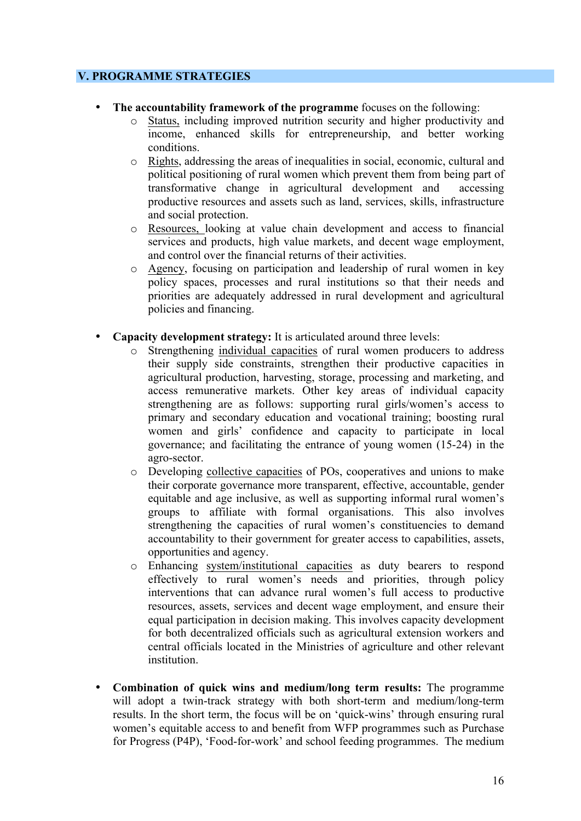#### **V. PROGRAMME STRATEGIES**

- **The accountability framework of the programme** focuses on the following:
	- o Status, including improved nutrition security and higher productivity and income, enhanced skills for entrepreneurship, and better working conditions.
	- o Rights, addressing the areas of inequalities in social, economic, cultural and political positioning of rural women which prevent them from being part of transformative change in agricultural development and accessing productive resources and assets such as land, services, skills, infrastructure and social protection.
	- o Resources, looking at value chain development and access to financial services and products, high value markets, and decent wage employment, and control over the financial returns of their activities.
	- o Agency, focusing on participation and leadership of rural women in key policy spaces, processes and rural institutions so that their needs and priorities are adequately addressed in rural development and agricultural policies and financing.
- **Capacity development strategy:** It is articulated around three levels:
	- o Strengthening individual capacities of rural women producers to address their supply side constraints, strengthen their productive capacities in agricultural production, harvesting, storage, processing and marketing, and access remunerative markets. Other key areas of individual capacity strengthening are as follows: supporting rural girls/women's access to primary and secondary education and vocational training; boosting rural women and girls' confidence and capacity to participate in local governance; and facilitating the entrance of young women (15-24) in the agro-sector.
	- o Developing collective capacities of POs, cooperatives and unions to make their corporate governance more transparent, effective, accountable, gender equitable and age inclusive, as well as supporting informal rural women's groups to affiliate with formal organisations. This also involves strengthening the capacities of rural women's constituencies to demand accountability to their government for greater access to capabilities, assets, opportunities and agency.
	- o Enhancing system/institutional capacities as duty bearers to respond effectively to rural women's needs and priorities, through policy interventions that can advance rural women's full access to productive resources, assets, services and decent wage employment, and ensure their equal participation in decision making. This involves capacity development for both decentralized officials such as agricultural extension workers and central officials located in the Ministries of agriculture and other relevant institution.
- **Combination of quick wins and medium/long term results:** The programme will adopt a twin-track strategy with both short-term and medium/long-term results. In the short term, the focus will be on 'quick-wins' through ensuring rural women's equitable access to and benefit from WFP programmes such as Purchase for Progress (P4P), 'Food-for-work' and school feeding programmes. The medium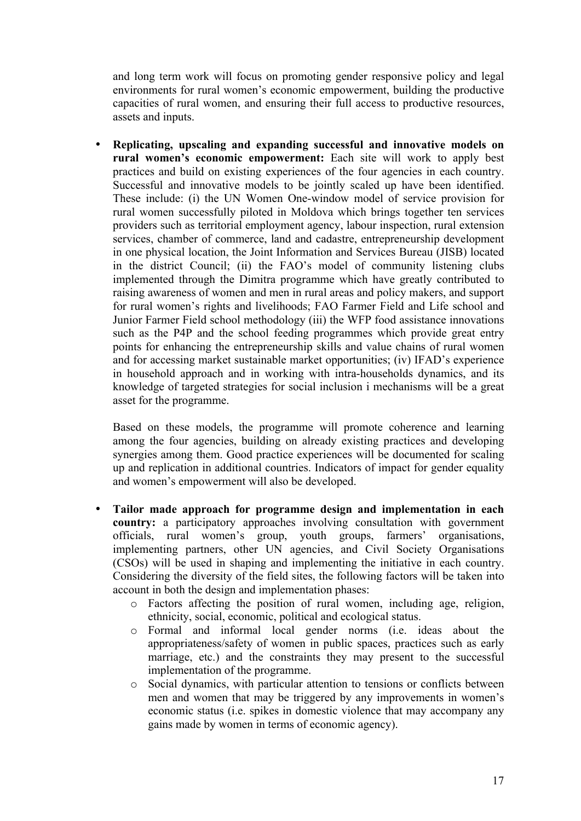and long term work will focus on promoting gender responsive policy and legal environments for rural women's economic empowerment, building the productive capacities of rural women, and ensuring their full access to productive resources, assets and inputs.

• **Replicating, upscaling and expanding successful and innovative models on rural women's economic empowerment:** Each site will work to apply best practices and build on existing experiences of the four agencies in each country. Successful and innovative models to be jointly scaled up have been identified. These include: (i) the UN Women One-window model of service provision for rural women successfully piloted in Moldova which brings together ten services providers such as territorial employment agency, labour inspection, rural extension services, chamber of commerce, land and cadastre, entrepreneurship development in one physical location, the Joint Information and Services Bureau (JISB) located in the district Council; (ii) the FAO's model of community listening clubs implemented through the Dimitra programme which have greatly contributed to raising awareness of women and men in rural areas and policy makers, and support for rural women's rights and livelihoods; FAO Farmer Field and Life school and Junior Farmer Field school methodology (iii) the WFP food assistance innovations such as the P4P and the school feeding programmes which provide great entry points for enhancing the entrepreneurship skills and value chains of rural women and for accessing market sustainable market opportunities; (iv) IFAD's experience in household approach and in working with intra-households dynamics, and its knowledge of targeted strategies for social inclusion i mechanisms will be a great asset for the programme.

Based on these models, the programme will promote coherence and learning among the four agencies, building on already existing practices and developing synergies among them. Good practice experiences will be documented for scaling up and replication in additional countries. Indicators of impact for gender equality and women's empowerment will also be developed.

- **Tailor made approach for programme design and implementation in each country:** a participatory approaches involving consultation with government officials, rural women's group, youth groups, farmers' organisations, implementing partners, other UN agencies, and Civil Society Organisations (CSOs) will be used in shaping and implementing the initiative in each country. Considering the diversity of the field sites, the following factors will be taken into account in both the design and implementation phases:
	- o Factors affecting the position of rural women, including age, religion, ethnicity, social, economic, political and ecological status.
	- o Formal and informal local gender norms (i.e. ideas about the appropriateness/safety of women in public spaces, practices such as early marriage, etc.) and the constraints they may present to the successful implementation of the programme.
	- o Social dynamics, with particular attention to tensions or conflicts between men and women that may be triggered by any improvements in women's economic status (i.e. spikes in domestic violence that may accompany any gains made by women in terms of economic agency).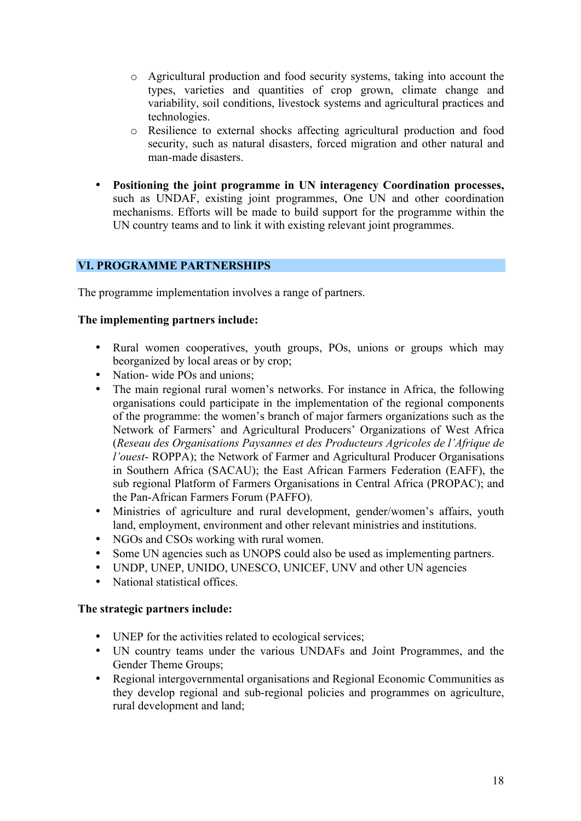- o Agricultural production and food security systems, taking into account the types, varieties and quantities of crop grown, climate change and variability, soil conditions, livestock systems and agricultural practices and technologies.
- o Resilience to external shocks affecting agricultural production and food security, such as natural disasters, forced migration and other natural and man-made disasters.
- **Positioning the joint programme in UN interagency Coordination processes,**  such as UNDAF, existing joint programmes, One UN and other coordination mechanisms. Efforts will be made to build support for the programme within the UN country teams and to link it with existing relevant joint programmes.

#### **VI. PROGRAMME PARTNERSHIPS**

The programme implementation involves a range of partners.

#### **The implementing partners include:**

- Rural women cooperatives, youth groups, POs, unions or groups which may beorganized by local areas or by crop;
- Nation- wide POs and unions:
- The main regional rural women's networks. For instance in Africa, the following organisations could participate in the implementation of the regional components of the programme: the women's branch of major farmers organizations such as the Network of Farmers' and Agricultural Producers' Organizations of West Africa (*Reseau des Organisations Paysannes et des Producteurs Agricoles de l'Afrique de l'ouest*- ROPPA); the Network of Farmer and Agricultural Producer Organisations in Southern Africa (SACAU); the East African Farmers Federation (EAFF), the sub regional Platform of Farmers Organisations in Central Africa (PROPAC); and the Pan-African Farmers Forum (PAFFO).
- Ministries of agriculture and rural development, gender/women's affairs, youth land, employment, environment and other relevant ministries and institutions.
- NGOs and CSOs working with rural women.
- Some UN agencies such as UNOPS could also be used as implementing partners.
- UNDP, UNEP, UNIDO, UNESCO, UNICEF, UNV and other UN agencies
- National statistical offices.

#### **The strategic partners include:**

- UNEP for the activities related to ecological services;
- UN country teams under the various UNDAFs and Joint Programmes, and the Gender Theme Groups;
- Regional intergovernmental organisations and Regional Economic Communities as they develop regional and sub-regional policies and programmes on agriculture, rural development and land;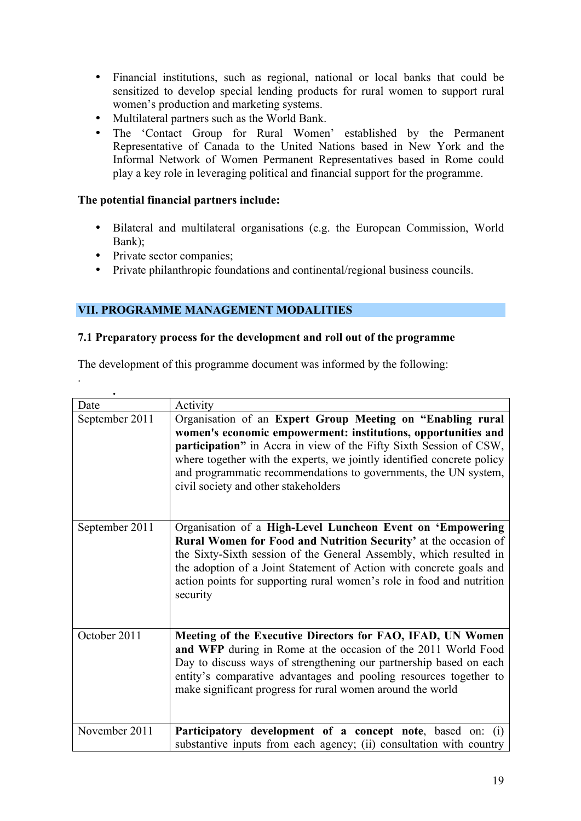- Financial institutions, such as regional, national or local banks that could be sensitized to develop special lending products for rural women to support rural women's production and marketing systems.
- Multilateral partners such as the World Bank.
- The 'Contact Group for Rural Women' established by the Permanent Representative of Canada to the United Nations based in New York and the Informal Network of Women Permanent Representatives based in Rome could play a key role in leveraging political and financial support for the programme.

# **The potential financial partners include:**

- Bilateral and multilateral organisations (e.g. the European Commission, World Bank);
- Private sector companies;

.

• Private philanthropic foundations and continental/regional business councils.

# **VII. PROGRAMME MANAGEMENT MODALITIES**

#### **7.1 Preparatory process for the development and roll out of the programme**

The development of this programme document was informed by the following:

| Date           | Activity                                                                                                                                                                                                                                                                                                                                                                               |
|----------------|----------------------------------------------------------------------------------------------------------------------------------------------------------------------------------------------------------------------------------------------------------------------------------------------------------------------------------------------------------------------------------------|
| September 2011 | Organisation of an Expert Group Meeting on "Enabling rural<br>women's economic empowerment: institutions, opportunities and<br>participation" in Accra in view of the Fifty Sixth Session of CSW,<br>where together with the experts, we jointly identified concrete policy<br>and programmatic recommendations to governments, the UN system,<br>civil society and other stakeholders |
| September 2011 | Organisation of a High-Level Luncheon Event on 'Empowering<br>Rural Women for Food and Nutrition Security' at the occasion of<br>the Sixty-Sixth session of the General Assembly, which resulted in<br>the adoption of a Joint Statement of Action with concrete goals and<br>action points for supporting rural women's role in food and nutrition<br>security                        |
| October 2011   | Meeting of the Executive Directors for FAO, IFAD, UN Women<br>and WFP during in Rome at the occasion of the 2011 World Food<br>Day to discuss ways of strengthening our partnership based on each<br>entity's comparative advantages and pooling resources together to<br>make significant progress for rural women around the world                                                   |
| November 2011  | Participatory development of a concept note, based on: (i)<br>substantive inputs from each agency; (ii) consultation with country                                                                                                                                                                                                                                                      |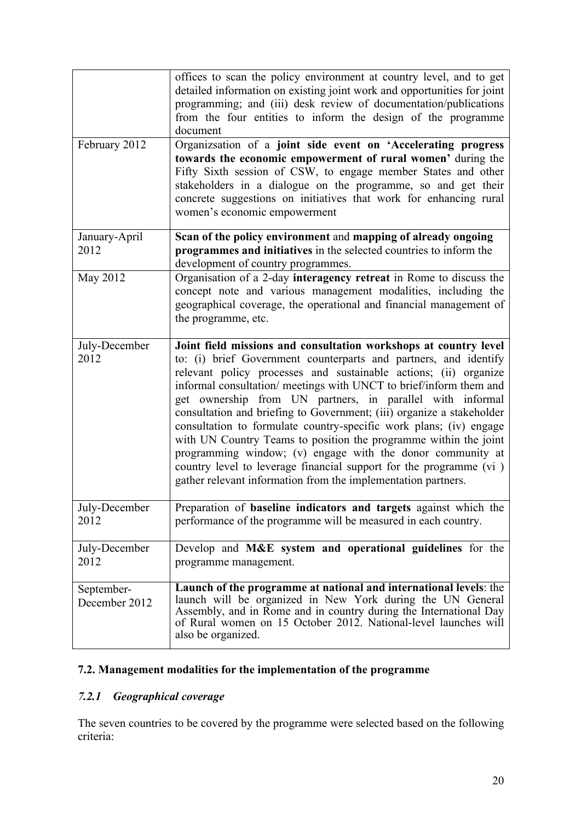|                             | offices to scan the policy environment at country level, and to get<br>detailed information on existing joint work and opportunities for joint<br>programming; and (iii) desk review of documentation/publications<br>from the four entities to inform the design of the programme<br>document                                                                                                                                                                                                                                                                                                                                                                                                                                                                      |
|-----------------------------|---------------------------------------------------------------------------------------------------------------------------------------------------------------------------------------------------------------------------------------------------------------------------------------------------------------------------------------------------------------------------------------------------------------------------------------------------------------------------------------------------------------------------------------------------------------------------------------------------------------------------------------------------------------------------------------------------------------------------------------------------------------------|
| February 2012               | Organizsation of a joint side event on 'Accelerating progress                                                                                                                                                                                                                                                                                                                                                                                                                                                                                                                                                                                                                                                                                                       |
|                             | towards the economic empowerment of rural women' during the<br>Fifty Sixth session of CSW, to engage member States and other<br>stakeholders in a dialogue on the programme, so and get their<br>concrete suggestions on initiatives that work for enhancing rural<br>women's economic empowerment                                                                                                                                                                                                                                                                                                                                                                                                                                                                  |
| January-April               | Scan of the policy environment and mapping of already ongoing                                                                                                                                                                                                                                                                                                                                                                                                                                                                                                                                                                                                                                                                                                       |
| 2012                        | programmes and initiatives in the selected countries to inform the<br>development of country programmes.                                                                                                                                                                                                                                                                                                                                                                                                                                                                                                                                                                                                                                                            |
| May 2012                    | Organisation of a 2-day interagency retreat in Rome to discuss the<br>concept note and various management modalities, including the<br>geographical coverage, the operational and financial management of<br>the programme, etc.                                                                                                                                                                                                                                                                                                                                                                                                                                                                                                                                    |
| July-December<br>2012       | Joint field missions and consultation workshops at country level<br>to: (i) brief Government counterparts and partners, and identify<br>relevant policy processes and sustainable actions; (ii) organize<br>informal consultation/ meetings with UNCT to brief/inform them and<br>get ownership from UN partners, in parallel with informal<br>consultation and briefing to Government; (iii) organize a stakeholder<br>consultation to formulate country-specific work plans; (iv) engage<br>with UN Country Teams to position the programme within the joint<br>programming window; (v) engage with the donor community at<br>country level to leverage financial support for the programme (vi)<br>gather relevant information from the implementation partners. |
| July-December<br>2012       | Preparation of <b>baseline indicators and targets</b> against which the<br>performance of the programme will be measured in each country.                                                                                                                                                                                                                                                                                                                                                                                                                                                                                                                                                                                                                           |
| July-December<br>2012       | Develop and M&E system and operational guidelines for the<br>programme management.                                                                                                                                                                                                                                                                                                                                                                                                                                                                                                                                                                                                                                                                                  |
| September-<br>December 2012 | Launch of the programme at national and international levels: the<br>launch will be organized in New York during the UN General<br>Assembly, and in Rome and in country during the International Day<br>of Rural women on 15 October 2012. National-level launches will<br>also be organized.                                                                                                                                                                                                                                                                                                                                                                                                                                                                       |

# **7.2. Management modalities for the implementation of the programme**

# *7.2.1 Geographical coverage*

The seven countries to be covered by the programme were selected based on the following criteria: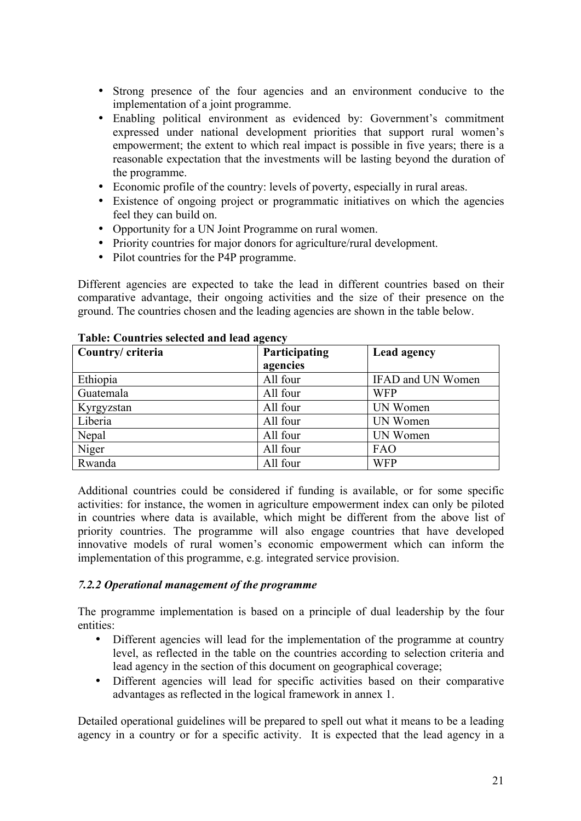- Strong presence of the four agencies and an environment conducive to the implementation of a joint programme.
- Enabling political environment as evidenced by: Government's commitment expressed under national development priorities that support rural women's empowerment; the extent to which real impact is possible in five years; there is a reasonable expectation that the investments will be lasting beyond the duration of the programme.
- Economic profile of the country: levels of poverty, especially in rural areas.
- Existence of ongoing project or programmatic initiatives on which the agencies feel they can build on.
- Opportunity for a UN Joint Programme on rural women.
- Priority countries for major donors for agriculture/rural development.
- Pilot countries for the P4P programme.

Different agencies are expected to take the lead in different countries based on their comparative advantage, their ongoing activities and the size of their presence on the ground. The countries chosen and the leading agencies are shown in the table below.

| Country/ criteria | -<br>Participating | Lead agency       |
|-------------------|--------------------|-------------------|
|                   | agencies           |                   |
| Ethiopia          | All four           | IFAD and UN Women |
| Guatemala         | All four           | <b>WFP</b>        |
| Kyrgyzstan        | All four           | UN Women          |
| Liberia           | All four           | UN Women          |
| Nepal             | All four           | UN Women          |
| Niger             | All four           | <b>FAO</b>        |
| Rwanda            | All four           | <b>WFP</b>        |

#### **Table: Countries selected and lead agency**

Additional countries could be considered if funding is available, or for some specific activities: for instance, the women in agriculture empowerment index can only be piloted in countries where data is available, which might be different from the above list of priority countries. The programme will also engage countries that have developed innovative models of rural women's economic empowerment which can inform the implementation of this programme, e.g. integrated service provision.

#### *7.2.2 Operational management of the programme*

The programme implementation is based on a principle of dual leadership by the four entities:

- Different agencies will lead for the implementation of the programme at country level, as reflected in the table on the countries according to selection criteria and lead agency in the section of this document on geographical coverage;
- Different agencies will lead for specific activities based on their comparative advantages as reflected in the logical framework in annex 1.

Detailed operational guidelines will be prepared to spell out what it means to be a leading agency in a country or for a specific activity. It is expected that the lead agency in a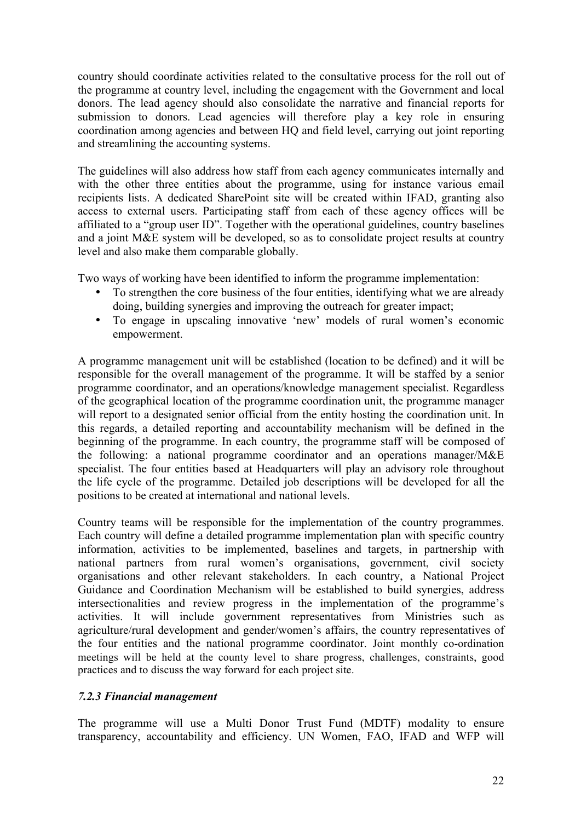country should coordinate activities related to the consultative process for the roll out of the programme at country level, including the engagement with the Government and local donors. The lead agency should also consolidate the narrative and financial reports for submission to donors. Lead agencies will therefore play a key role in ensuring coordination among agencies and between HQ and field level, carrying out joint reporting and streamlining the accounting systems.

The guidelines will also address how staff from each agency communicates internally and with the other three entities about the programme, using for instance various email recipients lists. A dedicated SharePoint site will be created within IFAD, granting also access to external users. Participating staff from each of these agency offices will be affiliated to a "group user ID". Together with the operational guidelines, country baselines and a joint M&E system will be developed, so as to consolidate project results at country level and also make them comparable globally.

Two ways of working have been identified to inform the programme implementation:

- To strengthen the core business of the four entities, identifying what we are already doing, building synergies and improving the outreach for greater impact;
- To engage in upscaling innovative 'new' models of rural women's economic empowerment.

A programme management unit will be established (location to be defined) and it will be responsible for the overall management of the programme. It will be staffed by a senior programme coordinator, and an operations/knowledge management specialist. Regardless of the geographical location of the programme coordination unit, the programme manager will report to a designated senior official from the entity hosting the coordination unit. In this regards, a detailed reporting and accountability mechanism will be defined in the beginning of the programme. In each country, the programme staff will be composed of the following: a national programme coordinator and an operations manager/M&E specialist. The four entities based at Headquarters will play an advisory role throughout the life cycle of the programme. Detailed job descriptions will be developed for all the positions to be created at international and national levels.

Country teams will be responsible for the implementation of the country programmes. Each country will define a detailed programme implementation plan with specific country information, activities to be implemented, baselines and targets, in partnership with national partners from rural women's organisations, government, civil society organisations and other relevant stakeholders. In each country, a National Project Guidance and Coordination Mechanism will be established to build synergies, address intersectionalities and review progress in the implementation of the programme's activities. It will include government representatives from Ministries such as agriculture/rural development and gender/women's affairs, the country representatives of the four entities and the national programme coordinator. Joint monthly co-ordination meetings will be held at the county level to share progress, challenges, constraints, good practices and to discuss the way forward for each project site.

#### *7.2.3 Financial management*

The programme will use a Multi Donor Trust Fund (MDTF) modality to ensure transparency, accountability and efficiency. UN Women, FAO, IFAD and WFP will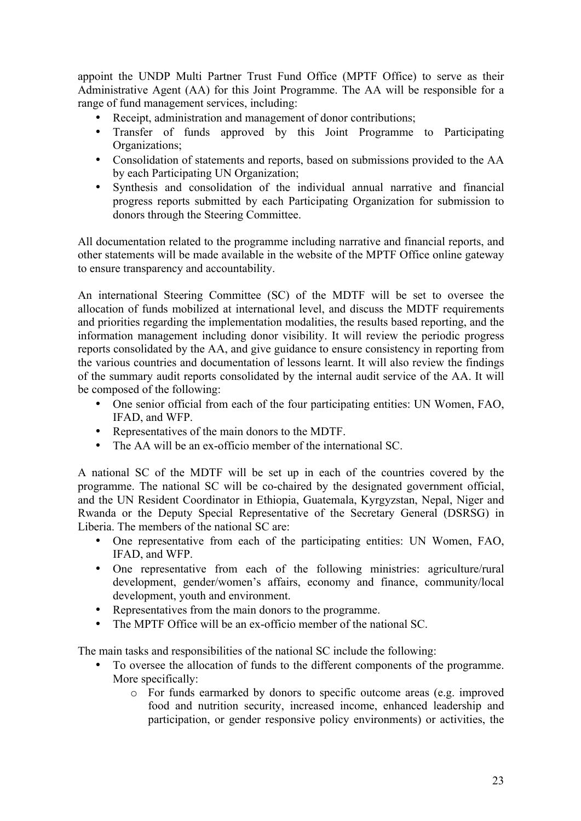appoint the UNDP Multi Partner Trust Fund Office (MPTF Office) to serve as their Administrative Agent (AA) for this Joint Programme. The AA will be responsible for a range of fund management services, including:

- Receipt, administration and management of donor contributions;
- Transfer of funds approved by this Joint Programme to Participating Organizations;
- Consolidation of statements and reports, based on submissions provided to the AA by each Participating UN Organization;
- Synthesis and consolidation of the individual annual narrative and financial progress reports submitted by each Participating Organization for submission to donors through the Steering Committee.

All documentation related to the programme including narrative and financial reports, and other statements will be made available in the website of the MPTF Office online gateway to ensure transparency and accountability.

An international Steering Committee (SC) of the MDTF will be set to oversee the allocation of funds mobilized at international level, and discuss the MDTF requirements and priorities regarding the implementation modalities, the results based reporting, and the information management including donor visibility. It will review the periodic progress reports consolidated by the AA, and give guidance to ensure consistency in reporting from the various countries and documentation of lessons learnt. It will also review the findings of the summary audit reports consolidated by the internal audit service of the AA. It will be composed of the following:

- One senior official from each of the four participating entities: UN Women, FAO, IFAD, and WFP.
- Representatives of the main donors to the MDTF.
- The AA will be an ex-officio member of the international SC.

A national SC of the MDTF will be set up in each of the countries covered by the programme. The national SC will be co-chaired by the designated government official, and the UN Resident Coordinator in Ethiopia, Guatemala, Kyrgyzstan, Nepal, Niger and Rwanda or the Deputy Special Representative of the Secretary General (DSRSG) in Liberia. The members of the national SC are:

- One representative from each of the participating entities: UN Women, FAO, IFAD, and WFP.
- One representative from each of the following ministries: agriculture/rural development, gender/women's affairs, economy and finance, community/local development, youth and environment.
- Representatives from the main donors to the programme.
- The MPTF Office will be an ex-officio member of the national SC.

The main tasks and responsibilities of the national SC include the following:

- To oversee the allocation of funds to the different components of the programme. More specifically:
	- o For funds earmarked by donors to specific outcome areas (e.g. improved food and nutrition security, increased income, enhanced leadership and participation, or gender responsive policy environments) or activities, the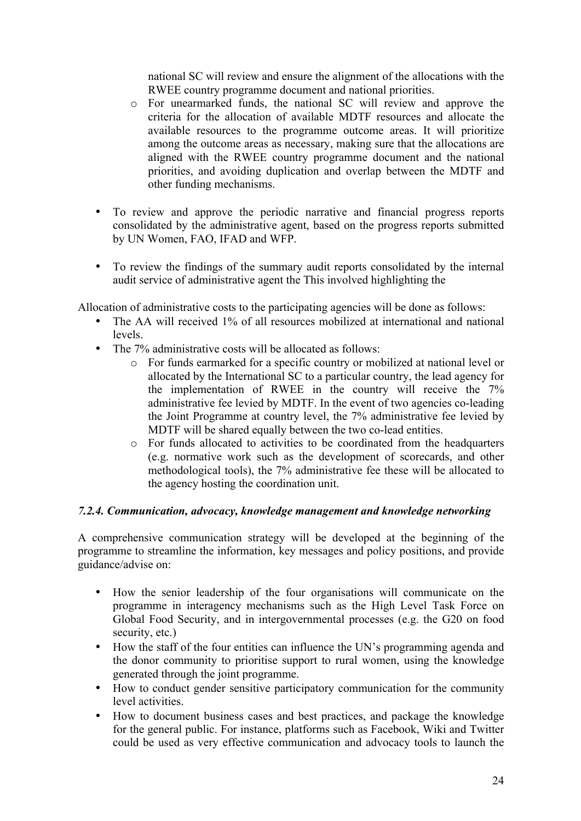national SC will review and ensure the alignment of the allocations with the RWEE country programme document and national priorities.

- o For unearmarked funds, the national SC will review and approve the criteria for the allocation of available MDTF resources and allocate the available resources to the programme outcome areas. It will prioritize among the outcome areas as necessary, making sure that the allocations are aligned with the RWEE country programme document and the national priorities, and avoiding duplication and overlap between the MDTF and other funding mechanisms.
- To review and approve the periodic narrative and financial progress reports consolidated by the administrative agent, based on the progress reports submitted by UN Women, FAO, IFAD and WFP.
- To review the findings of the summary audit reports consolidated by the internal audit service of administrative agent the This involved highlighting the

Allocation of administrative costs to the participating agencies will be done as follows:

- The AA will received 1% of all resources mobilized at international and national levels.
- The 7% administrative costs will be allocated as follows:
	- o For funds earmarked for a specific country or mobilized at national level or allocated by the International SC to a particular country, the lead agency for the implementation of RWEE in the country will receive the 7% administrative fee levied by MDTF. In the event of two agencies co-leading the Joint Programme at country level, the 7% administrative fee levied by MDTF will be shared equally between the two co-lead entities.
	- o For funds allocated to activities to be coordinated from the headquarters (e.g. normative work such as the development of scorecards, and other methodological tools), the 7% administrative fee these will be allocated to the agency hosting the coordination unit.

#### *7.2.4. Communication, advocacy, knowledge management and knowledge networking*

A comprehensive communication strategy will be developed at the beginning of the programme to streamline the information, key messages and policy positions, and provide guidance/advise on:

- How the senior leadership of the four organisations will communicate on the programme in interagency mechanisms such as the High Level Task Force on Global Food Security, and in intergovernmental processes (e.g. the G20 on food security, etc.)
- How the staff of the four entities can influence the UN's programming agenda and the donor community to prioritise support to rural women, using the knowledge generated through the joint programme.
- How to conduct gender sensitive participatory communication for the community level activities.
- How to document business cases and best practices, and package the knowledge for the general public. For instance, platforms such as Facebook, Wiki and Twitter could be used as very effective communication and advocacy tools to launch the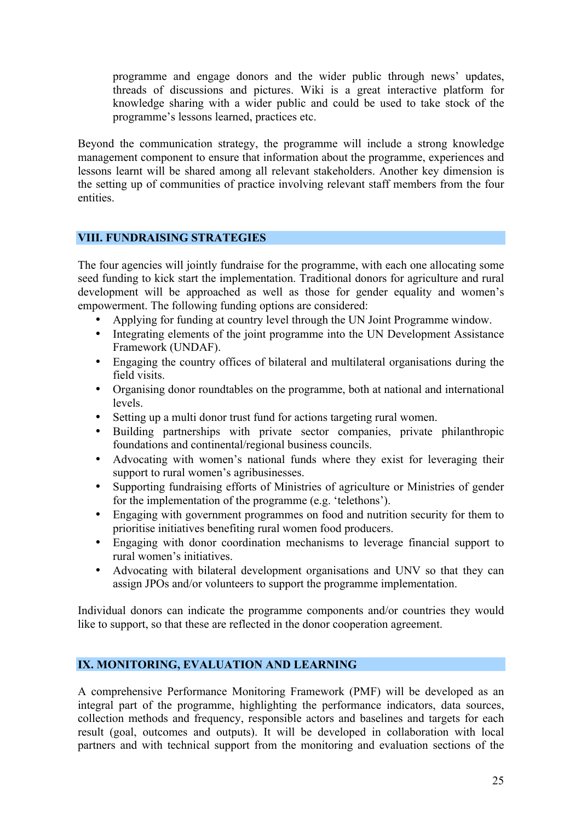programme and engage donors and the wider public through news' updates, threads of discussions and pictures. Wiki is a great interactive platform for knowledge sharing with a wider public and could be used to take stock of the programme's lessons learned, practices etc.

Beyond the communication strategy, the programme will include a strong knowledge management component to ensure that information about the programme, experiences and lessons learnt will be shared among all relevant stakeholders. Another key dimension is the setting up of communities of practice involving relevant staff members from the four entities.

# **VIII. FUNDRAISING STRATEGIES**

The four agencies will jointly fundraise for the programme, with each one allocating some seed funding to kick start the implementation. Traditional donors for agriculture and rural development will be approached as well as those for gender equality and women's empowerment. The following funding options are considered:

- Applying for funding at country level through the UN Joint Programme window.
- Integrating elements of the joint programme into the UN Development Assistance Framework (UNDAF).
- Engaging the country offices of bilateral and multilateral organisations during the field visits.
- Organising donor roundtables on the programme, both at national and international levels.
- Setting up a multi donor trust fund for actions targeting rural women.
- Building partnerships with private sector companies, private philanthropic foundations and continental/regional business councils.
- Advocating with women's national funds where they exist for leveraging their support to rural women's agribusinesses.
- Supporting fundraising efforts of Ministries of agriculture or Ministries of gender for the implementation of the programme (e.g. 'telethons').
- Engaging with government programmes on food and nutrition security for them to prioritise initiatives benefiting rural women food producers.
- Engaging with donor coordination mechanisms to leverage financial support to rural women's initiatives.
- Advocating with bilateral development organisations and UNV so that they can assign JPOs and/or volunteers to support the programme implementation.

Individual donors can indicate the programme components and/or countries they would like to support, so that these are reflected in the donor cooperation agreement.

#### **IX. MONITORING, EVALUATION AND LEARNING**

A comprehensive Performance Monitoring Framework (PMF) will be developed as an integral part of the programme, highlighting the performance indicators, data sources, collection methods and frequency, responsible actors and baselines and targets for each result (goal, outcomes and outputs). It will be developed in collaboration with local partners and with technical support from the monitoring and evaluation sections of the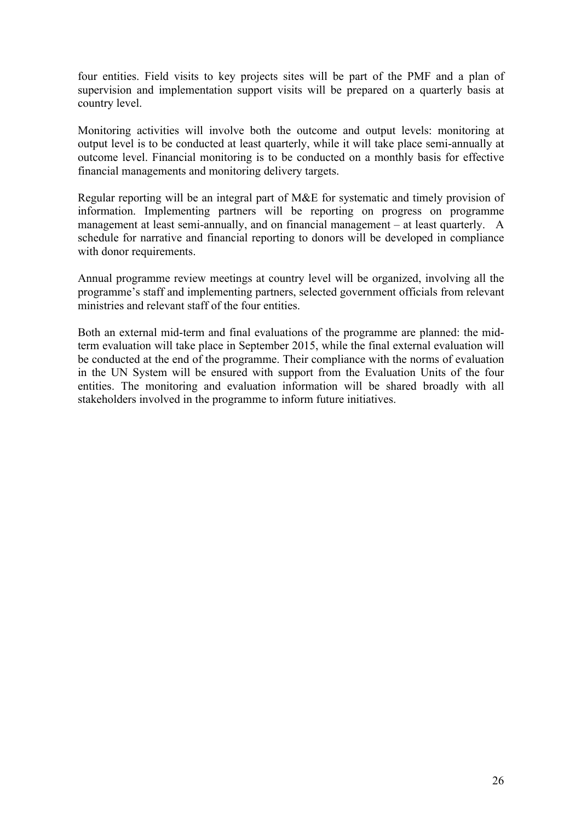four entities. Field visits to key projects sites will be part of the PMF and a plan of supervision and implementation support visits will be prepared on a quarterly basis at country level.

Monitoring activities will involve both the outcome and output levels: monitoring at output level is to be conducted at least quarterly, while it will take place semi-annually at outcome level. Financial monitoring is to be conducted on a monthly basis for effective financial managements and monitoring delivery targets.

Regular reporting will be an integral part of M&E for systematic and timely provision of information. Implementing partners will be reporting on progress on programme management at least semi-annually, and on financial management – at least quarterly. A schedule for narrative and financial reporting to donors will be developed in compliance with donor requirements.

Annual programme review meetings at country level will be organized, involving all the programme's staff and implementing partners, selected government officials from relevant ministries and relevant staff of the four entities.

Both an external mid-term and final evaluations of the programme are planned: the midterm evaluation will take place in September 2015, while the final external evaluation will be conducted at the end of the programme. Their compliance with the norms of evaluation in the UN System will be ensured with support from the Evaluation Units of the four entities. The monitoring and evaluation information will be shared broadly with all stakeholders involved in the programme to inform future initiatives.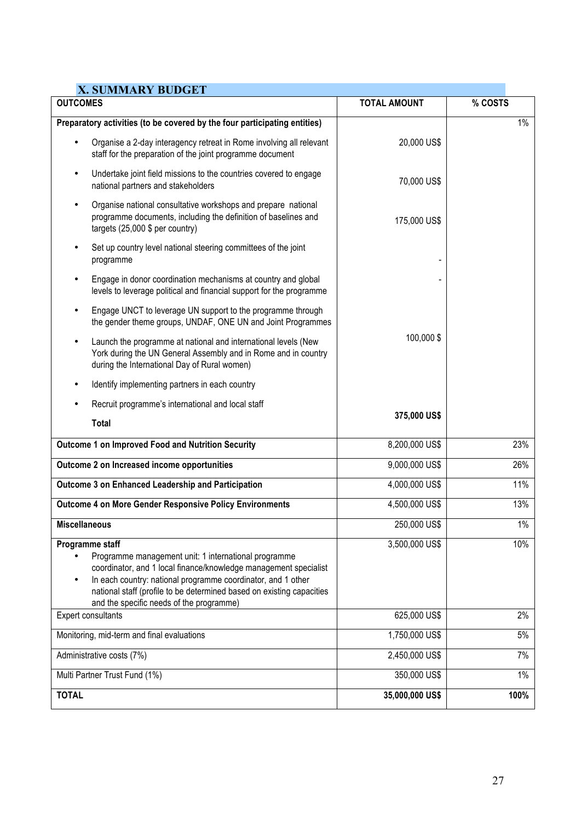| <b>X. SUMMARY BUDGET</b>                                                                                                                                                                                                                                                                                                                      |                     |         |
|-----------------------------------------------------------------------------------------------------------------------------------------------------------------------------------------------------------------------------------------------------------------------------------------------------------------------------------------------|---------------------|---------|
| <b>OUTCOMES</b>                                                                                                                                                                                                                                                                                                                               | <b>TOTAL AMOUNT</b> | % COSTS |
| Preparatory activities (to be covered by the four participating entities)                                                                                                                                                                                                                                                                     |                     | $1\%$   |
| Organise a 2-day interagency retreat in Rome involving all relevant<br>staff for the preparation of the joint programme document                                                                                                                                                                                                              | 20,000 US\$         |         |
| Undertake joint field missions to the countries covered to engage<br>national partners and stakeholders                                                                                                                                                                                                                                       | 70,000 US\$         |         |
| Organise national consultative workshops and prepare national<br>$\bullet$<br>programme documents, including the definition of baselines and<br>targets (25,000 \$ per country)                                                                                                                                                               | 175,000 US\$        |         |
| Set up country level national steering committees of the joint<br>programme                                                                                                                                                                                                                                                                   |                     |         |
| Engage in donor coordination mechanisms at country and global<br>levels to leverage political and financial support for the programme                                                                                                                                                                                                         |                     |         |
| Engage UNCT to leverage UN support to the programme through<br>$\bullet$<br>the gender theme groups, UNDAF, ONE UN and Joint Programmes                                                                                                                                                                                                       |                     |         |
| Launch the programme at national and international levels (New<br>York during the UN General Assembly and in Rome and in country<br>during the International Day of Rural women)                                                                                                                                                              | 100,000\$           |         |
| Identify implementing partners in each country                                                                                                                                                                                                                                                                                                |                     |         |
| Recruit programme's international and local staff<br>٠                                                                                                                                                                                                                                                                                        |                     |         |
| <b>Total</b>                                                                                                                                                                                                                                                                                                                                  | 375,000 US\$        |         |
| Outcome 1 on Improved Food and Nutrition Security                                                                                                                                                                                                                                                                                             | 8,200,000 US\$      | 23%     |
| Outcome 2 on Increased income opportunities                                                                                                                                                                                                                                                                                                   | 9,000,000 US\$      | 26%     |
| Outcome 3 on Enhanced Leadership and Participation                                                                                                                                                                                                                                                                                            | 4,000,000 US\$      | 11%     |
| <b>Outcome 4 on More Gender Responsive Policy Environments</b>                                                                                                                                                                                                                                                                                | 4,500,000 US\$      | 13%     |
| <b>Miscellaneous</b>                                                                                                                                                                                                                                                                                                                          | 250,000 US\$        | $1\%$   |
| Programme staff<br>Programme management unit: 1 international programme<br>coordinator, and 1 local finance/knowledge management specialist<br>In each country: national programme coordinator, and 1 other<br>$\bullet$<br>national staff (profile to be determined based on existing capacities<br>and the specific needs of the programme) | 3,500,000 US\$      | 10%     |
| Expert consultants                                                                                                                                                                                                                                                                                                                            | 625,000 US\$        | 2%      |
| Monitoring, mid-term and final evaluations                                                                                                                                                                                                                                                                                                    | 1,750,000 US\$      | 5%      |
| Administrative costs (7%)                                                                                                                                                                                                                                                                                                                     | 2,450,000 US\$      | 7%      |
| Multi Partner Trust Fund (1%)                                                                                                                                                                                                                                                                                                                 | 350,000 US\$        | $1\%$   |
| <b>TOTAL</b>                                                                                                                                                                                                                                                                                                                                  | 35,000,000 US\$     | 100%    |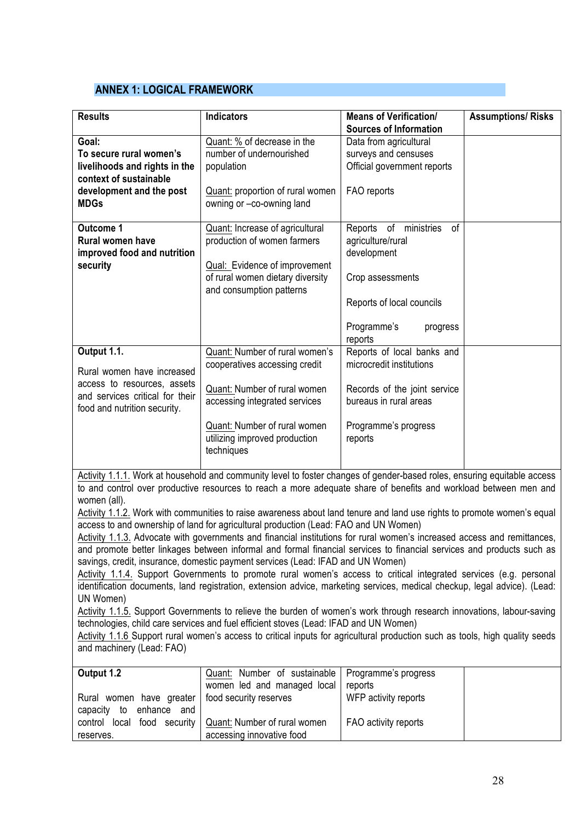### **ANNEX 1: LOGICAL FRAMEWORK**

| <b>Results</b>                                                                                                                              | <b>Indicators</b>                                                                                                                                                                                               | <b>Means of Verification/</b>                                                                                                                          | <b>Assumptions/ Risks</b> |
|---------------------------------------------------------------------------------------------------------------------------------------------|-----------------------------------------------------------------------------------------------------------------------------------------------------------------------------------------------------------------|--------------------------------------------------------------------------------------------------------------------------------------------------------|---------------------------|
| Goal:<br>To secure rural women's<br>livelihoods and rights in the<br>context of sustainable<br>development and the post<br><b>MDGs</b>      | Quant: % of decrease in the<br>number of undernourished<br>population<br>Quant: proportion of rural women<br>owning or -co-owning land                                                                          | <b>Sources of Information</b><br>Data from agricultural<br>surveys and censuses<br>Official government reports<br>FAO reports                          |                           |
| <b>Outcome 1</b><br><b>Rural women have</b><br>improved food and nutrition<br>security                                                      | Quant: Increase of agricultural<br>production of women farmers<br><b>Qual:</b> Evidence of improvement<br>of rural women dietary diversity<br>and consumption patterns                                          | Reports of ministries<br>0f<br>agriculture/rural<br>development<br>Crop assessments<br>Reports of local councils<br>Programme's<br>progress<br>reports |                           |
| Output 1.1.<br>Rural women have increased<br>access to resources, assets<br>and services critical for their<br>food and nutrition security. | Quant: Number of rural women's<br>cooperatives accessing credit<br>Quant: Number of rural women<br>accessing integrated services<br>Quant: Number of rural women<br>utilizing improved production<br>techniques | Reports of local banks and<br>microcredit institutions<br>Records of the joint service<br>bureaus in rural areas<br>Programme's progress<br>reports    |                           |
|                                                                                                                                             | Activity 1.1.1. Work at household and community level to foster changes of gender-based roles, ensuring equitable access                                                                                        |                                                                                                                                                        |                           |

Activity 1.1.1. Work at household and community level to foster changes of gender-based roles, ensuring equitable access to and control over productive resources to reach a more adequate share of benefits and workload between men and women (all).

Activity 1.1.2. Work with communities to raise awareness about land tenure and land use rights to promote women's equal access to and ownership of land for agricultural production (Lead: FAO and UN Women)

Activity 1.1.3. Advocate with governments and financial institutions for rural women's increased access and remittances, and promote better linkages between informal and formal financial services to financial services and products such as savings, credit, insurance, domestic payment services (Lead: IFAD and UN Women)

Activity 1.1.4. Support Governments to promote rural women's access to critical integrated services (e.g. personal identification documents, land registration, extension advice, marketing services, medical checkup, legal advice). (Lead: UN Women)

Activity 1.1.5. Support Governments to relieve the burden of women's work through research innovations, labour-saving technologies, child care services and fuel efficient stoves (Lead: IFAD and UN Women)

Activity 1.1.6 Support rural women's access to critical inputs for agricultural production such as tools, high quality seeds and machinery (Lead: FAO)

| Output 1.2                                        | Quant: Number of sustainable   Programme's progress        |                      |  |
|---------------------------------------------------|------------------------------------------------------------|----------------------|--|
|                                                   | women led and managed local                                | reports              |  |
| Rural women have greater   food security reserves |                                                            | WFP activity reports |  |
| capacity to enhance and                           |                                                            |                      |  |
|                                                   | control local food security   Quant: Number of rural women | FAO activity reports |  |
| reserves.                                         | accessing innovative food                                  |                      |  |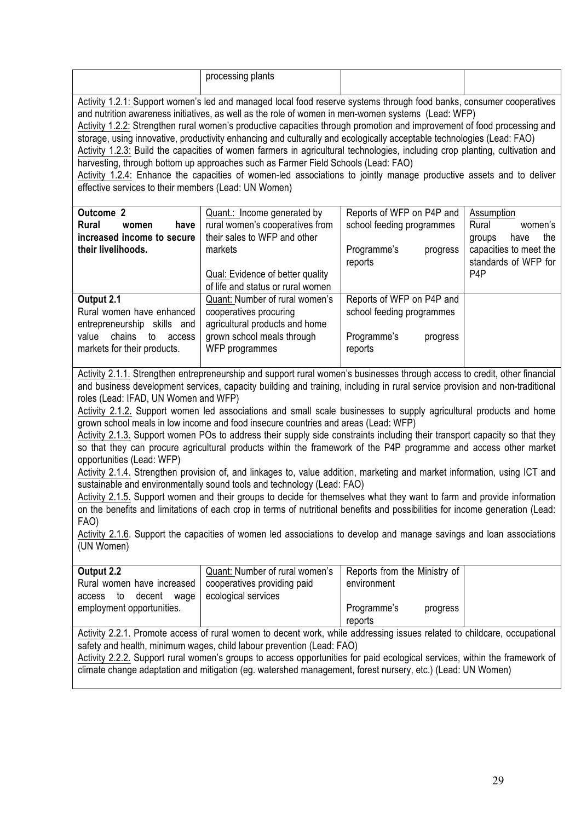| processing plants                                                                                                            |  |
|------------------------------------------------------------------------------------------------------------------------------|--|
|                                                                                                                              |  |
| Activity 1.2.1: Support women's led and managed local food reserve systems through food banks, consumer cooperatives         |  |
| and nutrition awareness initiatives, as well as the role of women in men-women systems (Lead: WFP)                           |  |
| Activity 1.2.2: Strengthen rural women's productive capacities through promotion and improvement of food processing and      |  |
| storage, using innovative, productivity enhancing and culturally and ecologically acceptable technologies (Lead: FAO)        |  |
| Activity 1.2.3: Build the capacities of women farmers in agricultural technologies, including crop planting, cultivation and |  |
| harvesting, through bottom up approaches such as Farmer Field Schools (Lead: FAO)                                            |  |

Activity 1.2.4: Enhance the capacities of women-led associations to jointly manage productive assets and to deliver effective services to their members (Lead: UN Women)

| <b>Outcome 2</b><br><b>Rural</b><br>have<br>women<br>increased income to secure<br>their livelihoods.                                    | Quant.: Income generated by<br>rural women's cooperatives from<br>their sales to WFP and other<br>markets<br>Qual: Evidence of better quality                                   | Reports of WFP on P4P and<br>school feeding programmes<br>Programme's<br>progress<br>reports | Assumption<br>Rural<br>women's<br>the<br>have<br>groups<br>capacities to meet the<br>standards of WFP for<br>P <sub>4</sub> P |
|------------------------------------------------------------------------------------------------------------------------------------------|---------------------------------------------------------------------------------------------------------------------------------------------------------------------------------|----------------------------------------------------------------------------------------------|-------------------------------------------------------------------------------------------------------------------------------|
| Output 2.1<br>Rural women have enhanced<br>entrepreneurship skills and<br>chains<br>value<br>to<br>access<br>markets for their products. | of life and status or rural women<br>Quant: Number of rural women's<br>cooperatives procuring<br>agricultural products and home<br>grown school meals through<br>WFP programmes | Reports of WFP on P4P and<br>school feeding programmes<br>Programme's<br>progress<br>reports |                                                                                                                               |

Activity 2.1.1. Strengthen entrepreneurship and support rural women's businesses through access to credit, other financial and business development services, capacity building and training, including in rural service provision and non-traditional roles (Lead: IFAD, UN Women and WFP)

Activity 2.1.2. Support women led associations and small scale businesses to supply agricultural products and home grown school meals in low income and food insecure countries and areas (Lead: WFP)

Activity 2.1.3. Support women POs to address their supply side constraints including their transport capacity so that they so that they can procure agricultural products within the framework of the P4P programme and access other market opportunities (Lead: WFP)

Activity 2.1.4. Strengthen provision of, and linkages to, value addition, marketing and market information, using ICT and sustainable and environmentally sound tools and technology (Lead: FAO)

Activity 2.1.5. Support women and their groups to decide for themselves what they want to farm and provide information on the benefits and limitations of each crop in terms of nutritional benefits and possibilities for income generation (Lead: FAO)

Activity 2.1.6. Support the capacities of women led associations to develop and manage savings and loan associations (UN Women)

| Output 2.2                     | Quant: Number of rural women's | Reports from the Ministry of |
|--------------------------------|--------------------------------|------------------------------|
| Rural women have increased     | cooperatives providing paid    | environment                  |
| decent<br>waqe<br>to<br>access | ecological services            |                              |
| employment opportunities.      |                                | Programme's<br>progress      |
|                                |                                | reports                      |

Activity 2.2.1. Promote access of rural women to decent work, while addressing issues related to childcare, occupational safety and health, minimum wages, child labour prevention (Lead: FAO)

Activity 2.2.2. Support rural women's groups to access opportunities for paid ecological services, within the framework of climate change adaptation and mitigation (eg. watershed management, forest nursery, etc.) (Lead: UN Women)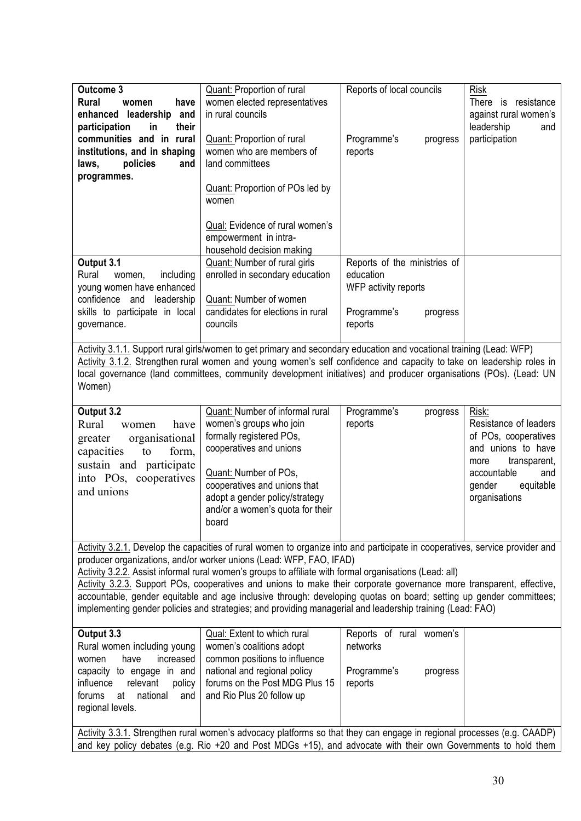| Outcome 3                                                                                                              | Quant: Proportion of rural                                                                                                   | Reports of local councils    | <b>Risk</b>                                |
|------------------------------------------------------------------------------------------------------------------------|------------------------------------------------------------------------------------------------------------------------------|------------------------------|--------------------------------------------|
| <b>Rural</b><br>have<br>women                                                                                          | women elected representatives                                                                                                |                              | There is resistance                        |
| enhanced leadership<br>and                                                                                             | in rural councils                                                                                                            |                              | against rural women's                      |
| participation<br>in<br>their                                                                                           |                                                                                                                              |                              | leadership<br>and                          |
| communities and in rural                                                                                               | Quant: Proportion of rural                                                                                                   | Programme's<br>progress      | participation                              |
| institutions, and in shaping                                                                                           | women who are members of                                                                                                     | reports                      |                                            |
| policies<br>laws,<br>and                                                                                               | land committees                                                                                                              |                              |                                            |
| programmes.                                                                                                            |                                                                                                                              |                              |                                            |
|                                                                                                                        | Quant: Proportion of POs led by                                                                                              |                              |                                            |
|                                                                                                                        | women                                                                                                                        |                              |                                            |
|                                                                                                                        |                                                                                                                              |                              |                                            |
|                                                                                                                        | Qual: Evidence of rural women's                                                                                              |                              |                                            |
|                                                                                                                        | empowerment in intra-<br>household decision making                                                                           |                              |                                            |
| Output 3.1                                                                                                             | Quant: Number of rural girls                                                                                                 | Reports of the ministries of |                                            |
| Rural<br>including<br>women,                                                                                           | enrolled in secondary education                                                                                              | education                    |                                            |
| young women have enhanced                                                                                              |                                                                                                                              | WFP activity reports         |                                            |
| confidence and<br>leadership                                                                                           | Quant: Number of women                                                                                                       |                              |                                            |
| skills to participate in local                                                                                         | candidates for elections in rural                                                                                            | Programme's<br>progress      |                                            |
| governance.                                                                                                            | councils                                                                                                                     | reports                      |                                            |
|                                                                                                                        |                                                                                                                              |                              |                                            |
|                                                                                                                        | Activity 3.1.1. Support rural girls/women to get primary and secondary education and vocational training (Lead: WFP)         |                              |                                            |
|                                                                                                                        | Activity 3.1.2. Strengthen rural women and young women's self confidence and capacity to take on leadership roles in         |                              |                                            |
|                                                                                                                        | local governance (land committees, community development initiatives) and producer organisations (POs). (Lead: UN            |                              |                                            |
| Women)                                                                                                                 |                                                                                                                              |                              |                                            |
|                                                                                                                        |                                                                                                                              |                              |                                            |
| Output 3.2                                                                                                             | Quant: Number of informal rural                                                                                              | Programme's<br>progress      | Risk:                                      |
| Rural<br>have<br>women                                                                                                 | women's groups who join                                                                                                      | reports                      | Resistance of leaders                      |
| organisational<br>greater                                                                                              | formally registered POs,                                                                                                     |                              | of POs, cooperatives                       |
| form,<br>capacities<br>to                                                                                              | cooperatives and unions                                                                                                      |                              | and unions to have                         |
| sustain and participate                                                                                                | Quant: Number of POs,                                                                                                        |                              | transparent,<br>more<br>accountable<br>and |
| into POs, cooperatives                                                                                                 | cooperatives and unions that                                                                                                 |                              | equitable<br>gender                        |
| and unions                                                                                                             | adopt a gender policy/strategy                                                                                               |                              | organisations                              |
|                                                                                                                        | and/or a women's quota for their                                                                                             |                              |                                            |
|                                                                                                                        | board                                                                                                                        |                              |                                            |
|                                                                                                                        |                                                                                                                              |                              |                                            |
|                                                                                                                        | Activity 3.2.1. Develop the capacities of rural women to organize into and participate in cooperatives, service provider and |                              |                                            |
|                                                                                                                        | producer organizations, and/or worker unions (Lead: WFP, FAO, IFAD)                                                          |                              |                                            |
|                                                                                                                        | Activity 3.2.2. Assist informal rural women's groups to affiliate with formal organisations (Lead: all)                      |                              |                                            |
|                                                                                                                        | Activity 3.2.3. Support POs, cooperatives and unions to make their corporate governance more transparent, effective,         |                              |                                            |
|                                                                                                                        | accountable, gender equitable and age inclusive through: developing quotas on board; setting up gender committees;           |                              |                                            |
|                                                                                                                        | implementing gender policies and strategies; and providing managerial and leadership training (Lead: FAO)                    |                              |                                            |
|                                                                                                                        |                                                                                                                              |                              |                                            |
| Output 3.3                                                                                                             | Qual: Extent to which rural                                                                                                  | Reports of rural women's     |                                            |
| Rural women including young                                                                                            | women's coalitions adopt                                                                                                     | networks                     |                                            |
| have<br>increased<br>women                                                                                             | common positions to influence                                                                                                |                              |                                            |
| capacity to engage in and                                                                                              | national and regional policy<br>forums on the Post MDG Plus 15                                                               | Programme's<br>progress      |                                            |
| relevant<br>influence<br>policy<br>national<br>forums<br>at<br>and                                                     | and Rio Plus 20 follow up                                                                                                    | reports                      |                                            |
| regional levels.                                                                                                       |                                                                                                                              |                              |                                            |
|                                                                                                                        |                                                                                                                              |                              |                                            |
| Activity 3.3.1. Strengthen rural women's advocacy platforms so that they can engage in regional processes (e.g. CAADP) |                                                                                                                              |                              |                                            |
| and key policy debates (e.g. Rio +20 and Post MDGs +15), and advocate with their own Governments to hold them          |                                                                                                                              |                              |                                            |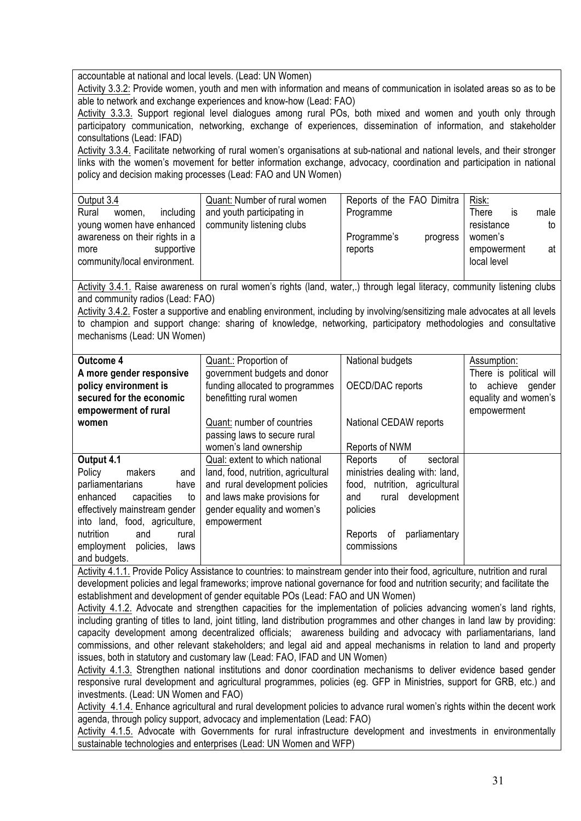accountable at national and local levels. (Lead: UN Women)

Activity 3.3.2: Provide women, youth and men with information and means of communication in isolated areas so as to be able to network and exchange experiences and know-how (Lead: FAO)

Activity 3.3.3. Support regional level dialogues among rural POs, both mixed and women and youth only through participatory communication, networking, exchange of experiences, dissemination of information, and stakeholder consultations (Lead: IFAD)

Activity 3.3.4. Facilitate networking of rural women's organisations at sub-national and national levels, and their stronger links with the women's movement for better information exchange, advocacy, coordination and participation in national policy and decision making processes (Lead: FAO and UN Women)

| Output 3.4                     | Quant: Number of rural women | Reports of the FAO Dimitra | Risk:       |      |
|--------------------------------|------------------------------|----------------------------|-------------|------|
| Rural<br>including<br>women.   | and youth participating in   | Programme                  | There<br>IS | male |
| young women have enhanced      | community listening clubs    |                            | resistance  | to   |
| awareness on their rights in a |                              | Programme's<br>progress    | women's     |      |
| supportive<br>more             |                              | reports                    | empowerment | at   |
| community/local environment.   |                              |                            | local level |      |
|                                |                              |                            |             |      |

Activity 3.4.1. Raise awareness on rural women's rights (land, water,.) through legal literacy, community listening clubs and community radios (Lead: FAO)

Activity 3.4.2. Foster a supportive and enabling environment, including by involving/sensitizing male advocates at all levels to champion and support change: sharing of knowledge, networking, participatory methodologies and consultative mechanisms (Lead: UN Women)

| <b>Outcome 4</b>                | Quant.: Proportion of               | National budgets               | Assumption:             |
|---------------------------------|-------------------------------------|--------------------------------|-------------------------|
| A more gender responsive        | government budgets and donor        |                                | There is political will |
| policy environment is           | funding allocated to programmes     | OECD/DAC reports               | achieve<br>gender<br>to |
| secured for the economic        | benefitting rural women             |                                | equality and women's    |
| empowerment of rural            |                                     |                                | empowerment             |
| women                           | Quant: number of countries          | National CEDAW reports         |                         |
|                                 | passing laws to secure rural        |                                |                         |
|                                 | women's land ownership              | Reports of NWM                 |                         |
| Output 4.1                      | Qual: extent to which national      | Reports<br>of<br>sectoral      |                         |
| makers<br>Policy<br>and         | land, food, nutrition, agricultural | ministries dealing with: land, |                         |
| parliamentarians<br>have        | and rural development policies      | food, nutrition, agricultural  |                         |
| enhanced<br>capacities<br>to    | and laws make provisions for        | development<br>and<br>rural    |                         |
| effectively mainstream gender   | gender equality and women's         | policies                       |                         |
| into land, food, agriculture,   | empowerment                         |                                |                         |
| nutrition<br>and<br>rural       |                                     | parliamentary<br>Reports of    |                         |
| policies,<br>employment<br>laws |                                     | commissions                    |                         |
| and budgets.                    |                                     |                                |                         |

Activity 4.1.1. Provide Policy Assistance to countries: to mainstream gender into their food, agriculture, nutrition and rural development policies and legal frameworks; improve national governance for food and nutrition security; and facilitate the establishment and development of gender equitable POs (Lead: FAO and UN Women)

Activity 4.1.2. Advocate and strengthen capacities for the implementation of policies advancing women's land rights, including granting of titles to land, joint titling, land distribution programmes and other changes in land law by providing: capacity development among decentralized officials; awareness building and advocacy with parliamentarians, land commissions, and other relevant stakeholders; and legal aid and appeal mechanisms in relation to land and property issues, both in statutory and customary law (Lead: FAO, IFAD and UN Women)

Activity 4.1.3. Strengthen national institutions and donor coordination mechanisms to deliver evidence based gender responsive rural development and agricultural programmes, policies (eg. GFP in Ministries, support for GRB, etc.) and investments. (Lead: UN Women and FAO)

Activity 4.1.4. Enhance agricultural and rural development policies to advance rural women's rights within the decent work agenda, through policy support, advocacy and implementation (Lead: FAO)

Activity 4.1.5. Advocate with Governments for rural infrastructure development and investments in environmentally sustainable technologies and enterprises (Lead: UN Women and WFP)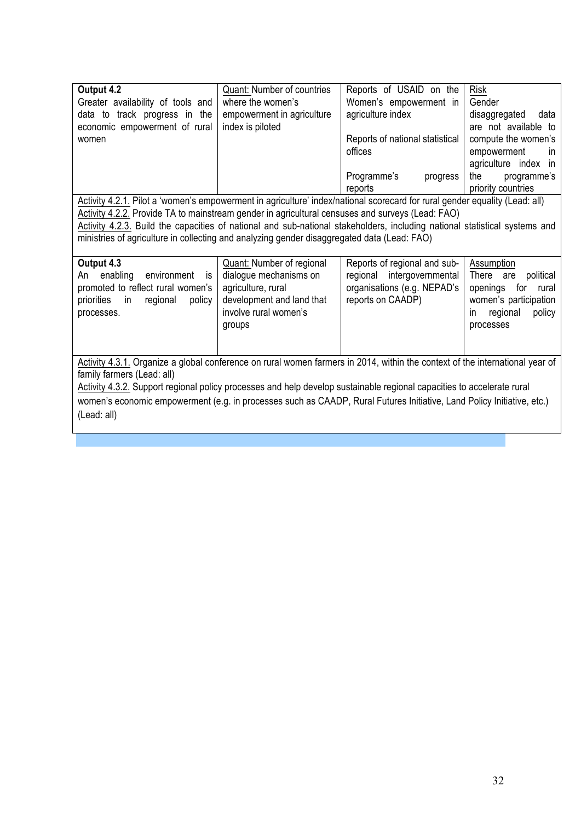| Output 4.2                        | <b>Quant: Number of countries</b> | Reports of USAID on the         | <b>Risk</b>                 |
|-----------------------------------|-----------------------------------|---------------------------------|-----------------------------|
| Greater availability of tools and | where the women's                 | Women's empowerment in          | Gender                      |
| data to track progress in the     | empowerment in agriculture        | agriculture index               | data<br>disaggregated       |
| economic empowerment of rural     | index is piloted                  |                                 | are not available to        |
| women                             |                                   | Reports of national statistical | compute the women's         |
|                                   |                                   | offices                         | empowerment<br>$\mathsf{I}$ |
|                                   |                                   |                                 | agriculture index in        |
|                                   |                                   | Programme's<br>progress         | the<br>programme's          |
|                                   |                                   | reports                         | priority countries          |
| .<br>- -                          |                                   | $\mathbf{r}$                    | $111 - 11 = 11$             |

Activity 4.2.1. Pilot a 'women's empowerment in agriculture' index/national scorecard for rural gender equality (Lead: all) Activity 4.2.2. Provide TA to mainstream gender in agricultural censuses and surveys (Lead: FAO)

Activity 4.2.3. Build the capacities of national and sub-national stakeholders, including national statistical systems and ministries of agriculture in collecting and analyzing gender disaggregated data (Lead: FAO)

| Output 4.3                                                                                                                      | Quant: Number of regional                                                                                    | Reports of regional and sub-                                                   | Assumption                                                                                                           |
|---------------------------------------------------------------------------------------------------------------------------------|--------------------------------------------------------------------------------------------------------------|--------------------------------------------------------------------------------|----------------------------------------------------------------------------------------------------------------------|
| An enabling<br>environment<br>IS.<br>promoted to reflect rural women's<br>policy<br>regional<br>priorities<br>-in<br>processes. | dialogue mechanisms on<br>agriculture, rural<br>development and land that<br>involve rural women's<br>groups | regional intergovernmental<br>organisations (e.g. NEPAD's<br>reports on CAADP) | There are<br>political<br>openings<br>rural<br>for<br>women's participation<br>policy<br>regional<br>ın<br>processes |

Activity 4.3.1. Organize a global conference on rural women farmers in 2014, within the context of the international year of family farmers (Lead: all)

Activity 4.3.2. Support regional policy processes and help develop sustainable regional capacities to accelerate rural women's economic empowerment (e.g. in processes such as CAADP, Rural Futures Initiative, Land Policy Initiative, etc.) (Lead: all)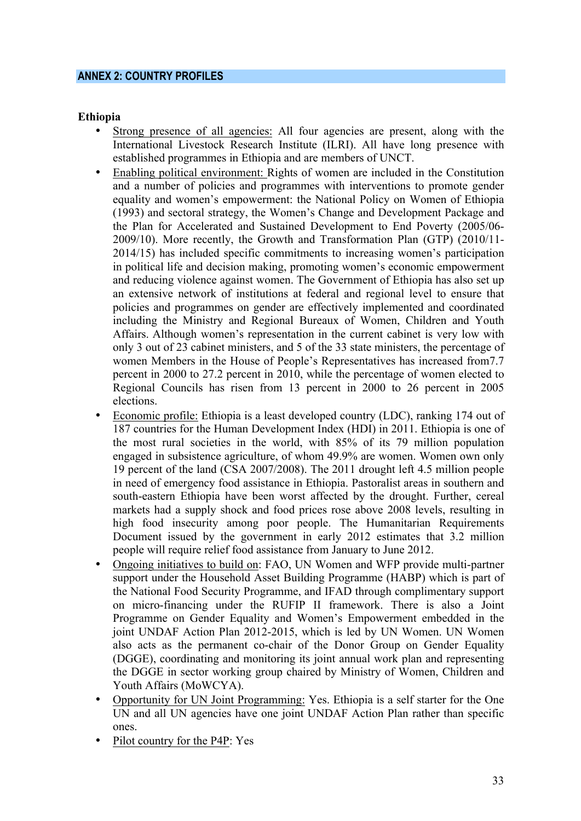#### **ANNEX 2: COUNTRY PROFILES**

#### **Ethiopia**

- Strong presence of all agencies: All four agencies are present, along with the International Livestock Research Institute (ILRI). All have long presence with established programmes in Ethiopia and are members of UNCT.
- Enabling political environment: Rights of women are included in the Constitution and a number of policies and programmes with interventions to promote gender equality and women's empowerment: the National Policy on Women of Ethiopia (1993) and sectoral strategy, the Women's Change and Development Package and the Plan for Accelerated and Sustained Development to End Poverty (2005/06- 2009/10). More recently, the Growth and Transformation Plan (GTP) (2010/11- 2014/15) has included specific commitments to increasing women's participation in political life and decision making, promoting women's economic empowerment and reducing violence against women. The Government of Ethiopia has also set up an extensive network of institutions at federal and regional level to ensure that policies and programmes on gender are effectively implemented and coordinated including the Ministry and Regional Bureaux of Women, Children and Youth Affairs. Although women's representation in the current cabinet is very low with only 3 out of 23 cabinet ministers, and 5 of the 33 state ministers, the percentage of women Members in the House of People's Representatives has increased from7.7 percent in 2000 to 27.2 percent in 2010, while the percentage of women elected to Regional Councils has risen from 13 percent in 2000 to 26 percent in 2005 elections.
- Economic profile: Ethiopia is a least developed country (LDC), ranking 174 out of 187 countries for the Human Development Index (HDI) in 2011. Ethiopia is one of the most rural societies in the world, with 85% of its 79 million population engaged in subsistence agriculture, of whom 49.9% are women. Women own only 19 percent of the land (CSA 2007/2008). The 2011 drought left 4.5 million people in need of emergency food assistance in Ethiopia. Pastoralist areas in southern and south-eastern Ethiopia have been worst affected by the drought. Further, cereal markets had a supply shock and food prices rose above 2008 levels, resulting in high food insecurity among poor people. The Humanitarian Requirements Document issued by the government in early 2012 estimates that 3.2 million people will require relief food assistance from January to June 2012.
- Ongoing initiatives to build on: FAO, UN Women and WFP provide multi-partner support under the Household Asset Building Programme (HABP) which is part of the National Food Security Programme, and IFAD through complimentary support on micro-financing under the RUFIP II framework. There is also a Joint Programme on Gender Equality and Women's Empowerment embedded in the joint UNDAF Action Plan 2012-2015, which is led by UN Women. UN Women also acts as the permanent co-chair of the Donor Group on Gender Equality (DGGE), coordinating and monitoring its joint annual work plan and representing the DGGE in sector working group chaired by Ministry of Women, Children and Youth Affairs (MoWCYA).
- Opportunity for UN Joint Programming: Yes. Ethiopia is a self starter for the One UN and all UN agencies have one joint UNDAF Action Plan rather than specific ones.
- Pilot country for the P4P: Yes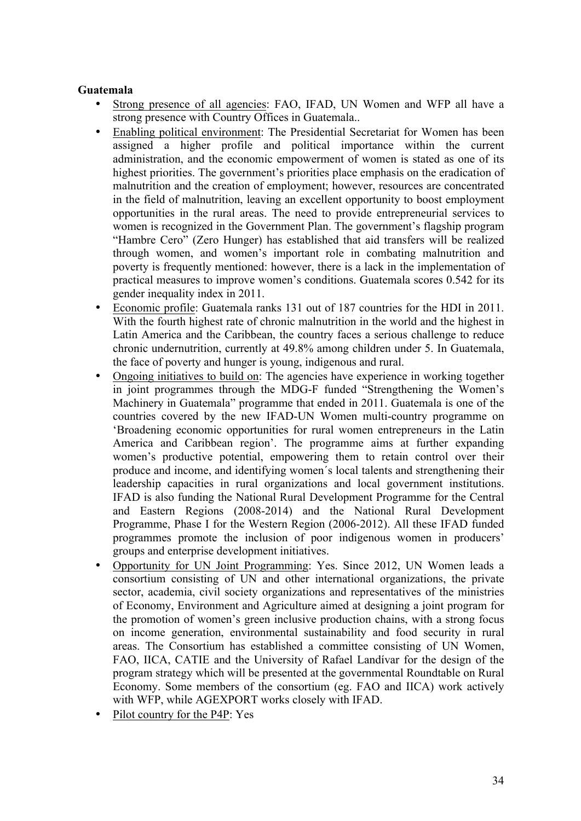#### **Guatemala**

- Strong presence of all agencies: FAO, IFAD, UN Women and WFP all have a strong presence with Country Offices in Guatemala..
- Enabling political environment: The Presidential Secretariat for Women has been assigned a higher profile and political importance within the current administration, and the economic empowerment of women is stated as one of its highest priorities. The government's priorities place emphasis on the eradication of malnutrition and the creation of employment; however, resources are concentrated in the field of malnutrition, leaving an excellent opportunity to boost employment opportunities in the rural areas. The need to provide entrepreneurial services to women is recognized in the Government Plan. The government's flagship program "Hambre Cero" (Zero Hunger) has established that aid transfers will be realized through women, and women's important role in combating malnutrition and poverty is frequently mentioned: however, there is a lack in the implementation of practical measures to improve women's conditions. Guatemala scores 0.542 for its gender inequality index in 2011.
- Economic profile: Guatemala ranks 131 out of 187 countries for the HDI in 2011. With the fourth highest rate of chronic malnutrition in the world and the highest in Latin America and the Caribbean, the country faces a serious challenge to reduce chronic undernutrition, currently at 49.8% among children under 5. In Guatemala, the face of poverty and hunger is young, indigenous and rural.
- Ongoing initiatives to build on: The agencies have experience in working together in joint programmes through the MDG-F funded "Strengthening the Women's Machinery in Guatemala" programme that ended in 2011. Guatemala is one of the countries covered by the new IFAD-UN Women multi-country programme on 'Broadening economic opportunities for rural women entrepreneurs in the Latin America and Caribbean region'. The programme aims at further expanding women's productive potential, empowering them to retain control over their produce and income, and identifying women´s local talents and strengthening their leadership capacities in rural organizations and local government institutions. IFAD is also funding the National Rural Development Programme for the Central and Eastern Regions (2008-2014) and the National Rural Development Programme, Phase I for the Western Region (2006-2012). All these IFAD funded programmes promote the inclusion of poor indigenous women in producers' groups and enterprise development initiatives.
- Opportunity for UN Joint Programming: Yes. Since 2012, UN Women leads a consortium consisting of UN and other international organizations, the private sector, academia, civil society organizations and representatives of the ministries of Economy, Environment and Agriculture aimed at designing a joint program for the promotion of women's green inclusive production chains, with a strong focus on income generation, environmental sustainability and food security in rural areas. The Consortium has established a committee consisting of UN Women, FAO, IICA, CATIE and the University of Rafael Landívar for the design of the program strategy which will be presented at the governmental Roundtable on Rural Economy. Some members of the consortium (eg. FAO and IICA) work actively with WFP, while AGEXPORT works closely with IFAD.
- Pilot country for the P4P: Yes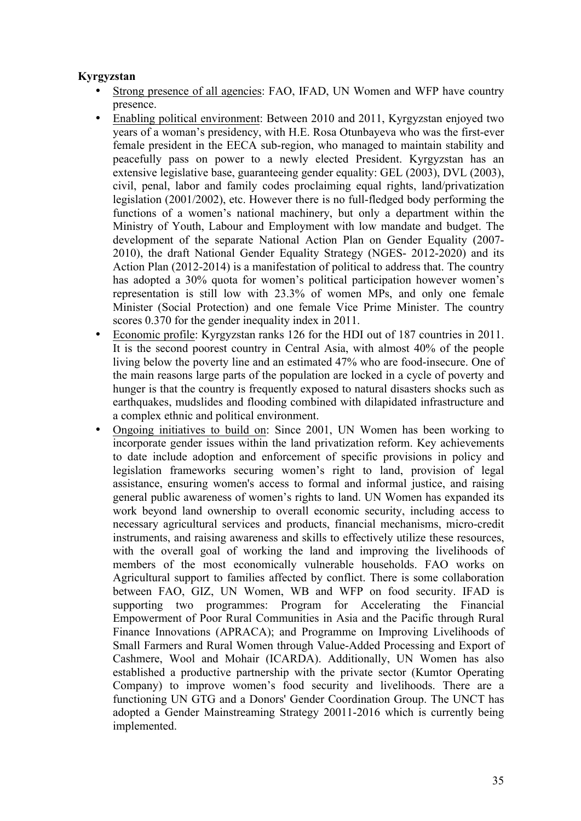### **Kyrgyzstan**

- Strong presence of all agencies: FAO, IFAD, UN Women and WFP have country presence.
- Enabling political environment: Between 2010 and 2011, Kyrgyzstan enjoyed two years of a woman's presidency, with H.E. Rosa Otunbayeva who was the first-ever female president in the EECA sub-region, who managed to maintain stability and peacefully pass on power to a newly elected President. Kyrgyzstan has an extensive legislative base, guaranteeing gender equality: GEL (2003), DVL (2003), civil, penal, labor and family codes proclaiming equal rights, land/privatization legislation (2001/2002), etc. However there is no full-fledged body performing the functions of a women's national machinery, but only a department within the Ministry of Youth, Labour and Employment with low mandate and budget. The development of the separate National Action Plan on Gender Equality (2007- 2010), the draft National Gender Equality Strategy (NGES- 2012-2020) and its Action Plan (2012-2014) is a manifestation of political to address that. The country has adopted a 30% quota for women's political participation however women's representation is still low with 23.3% of women MPs, and only one female Minister (Social Protection) and one female Vice Prime Minister. The country scores 0.370 for the gender inequality index in 2011.
- Economic profile: Kyrgyzstan ranks 126 for the HDI out of 187 countries in 2011. It is the second poorest country in Central Asia, with almost 40% of the people living below the poverty line and an estimated 47% who are food-insecure. One of the main reasons large parts of the population are locked in a cycle of poverty and hunger is that the country is frequently exposed to natural disasters shocks such as earthquakes, mudslides and flooding combined with dilapidated infrastructure and a complex ethnic and political environment.
- Ongoing initiatives to build on: Since 2001, UN Women has been working to incorporate gender issues within the land privatization reform. Key achievements to date include adoption and enforcement of specific provisions in policy and legislation frameworks securing women's right to land, provision of legal assistance, ensuring women's access to formal and informal justice, and raising general public awareness of women's rights to land. UN Women has expanded its work beyond land ownership to overall economic security, including access to necessary agricultural services and products, financial mechanisms, micro-credit instruments, and raising awareness and skills to effectively utilize these resources, with the overall goal of working the land and improving the livelihoods of members of the most economically vulnerable households. FAO works on Agricultural support to families affected by conflict. There is some collaboration between FAO, GIZ, UN Women, WB and WFP on food security. IFAD is supporting two programmes: Program for Accelerating the Financial Empowerment of Poor Rural Communities in Asia and the Pacific through Rural Finance Innovations (APRACA); and Programme on Improving Livelihoods of Small Farmers and Rural Women through Value-Added Processing and Export of Cashmere, Wool and Mohair (ICARDA). Additionally, UN Women has also established a productive partnership with the private sector (Kumtor Operating Company) to improve women's food security and livelihoods. There are a functioning UN GTG and a Donors' Gender Coordination Group. The UNCT has adopted a Gender Mainstreaming Strategy 20011-2016 which is currently being implemented.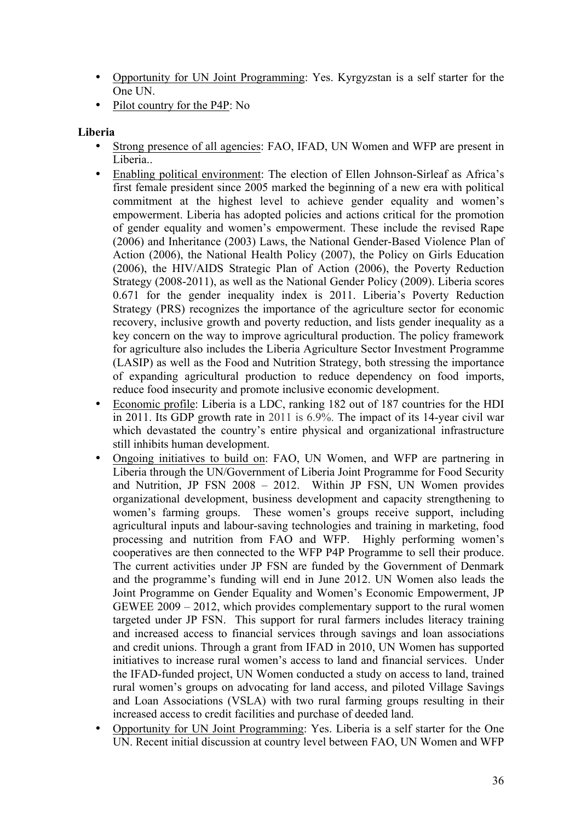- Opportunity for UN Joint Programming: Yes. Kyrgyzstan is a self starter for the One UN.
- Pilot country for the P4P: No

## **Liberia**

- Strong presence of all agencies: FAO, IFAD, UN Women and WFP are present in Liberia..
- Enabling political environment: The election of Ellen Johnson-Sirleaf as Africa's first female president since 2005 marked the beginning of a new era with political commitment at the highest level to achieve gender equality and women's empowerment. Liberia has adopted policies and actions critical for the promotion of gender equality and women's empowerment. These include the revised Rape (2006) and Inheritance (2003) Laws, the National Gender-Based Violence Plan of Action (2006), the National Health Policy (2007), the Policy on Girls Education (2006), the HIV/AIDS Strategic Plan of Action (2006), the Poverty Reduction Strategy (2008-2011), as well as the National Gender Policy (2009). Liberia scores 0.671 for the gender inequality index is 2011. Liberia's Poverty Reduction Strategy (PRS) recognizes the importance of the agriculture sector for economic recovery, inclusive growth and poverty reduction, and lists gender inequality as a key concern on the way to improve agricultural production. The policy framework for agriculture also includes the Liberia Agriculture Sector Investment Programme (LASIP) as well as the Food and Nutrition Strategy, both stressing the importance of expanding agricultural production to reduce dependency on food imports, reduce food insecurity and promote inclusive economic development.
- Economic profile: Liberia is a LDC, ranking 182 out of 187 countries for the HDI in 2011. Its GDP growth rate in 2011 is 6.9%. The impact of its 14-year civil war which devastated the country's entire physical and organizational infrastructure still inhibits human development.
- Ongoing initiatives to build on: FAO, UN Women, and WFP are partnering in Liberia through the UN/Government of Liberia Joint Programme for Food Security and Nutrition, JP FSN 2008 – 2012. Within JP FSN, UN Women provides organizational development, business development and capacity strengthening to women's farming groups. These women's groups receive support, including agricultural inputs and labour-saving technologies and training in marketing, food processing and nutrition from FAO and WFP. Highly performing women's cooperatives are then connected to the WFP P4P Programme to sell their produce. The current activities under JP FSN are funded by the Government of Denmark and the programme's funding will end in June 2012. UN Women also leads the Joint Programme on Gender Equality and Women's Economic Empowerment, JP GEWEE 2009 – 2012, which provides complementary support to the rural women targeted under JP FSN. This support for rural farmers includes literacy training and increased access to financial services through savings and loan associations and credit unions. Through a grant from IFAD in 2010, UN Women has supported initiatives to increase rural women's access to land and financial services. Under the IFAD-funded project, UN Women conducted a study on access to land, trained rural women's groups on advocating for land access, and piloted Village Savings and Loan Associations (VSLA) with two rural farming groups resulting in their increased access to credit facilities and purchase of deeded land.
- Opportunity for UN Joint Programming: Yes. Liberia is a self starter for the One UN. Recent initial discussion at country level between FAO, UN Women and WFP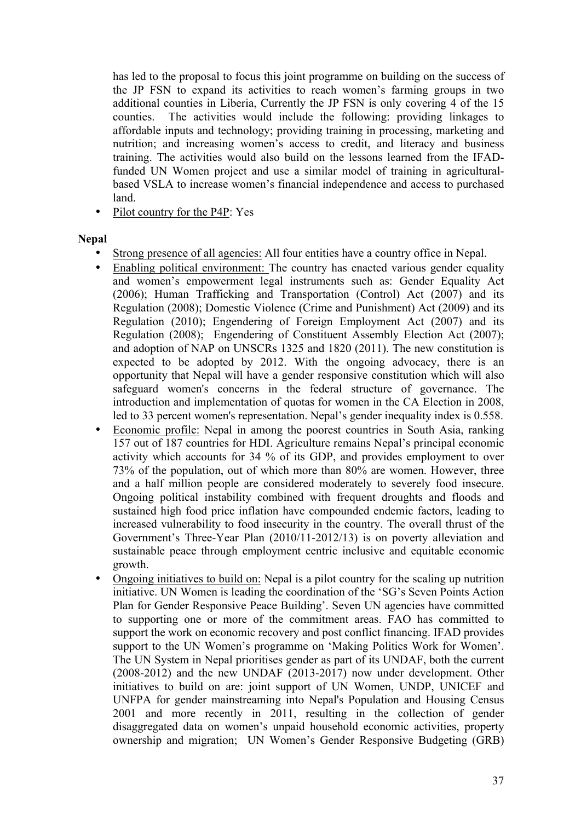has led to the proposal to focus this joint programme on building on the success of the JP FSN to expand its activities to reach women's farming groups in two additional counties in Liberia, Currently the JP FSN is only covering 4 of the 15 counties. The activities would include the following: providing linkages to affordable inputs and technology; providing training in processing, marketing and nutrition; and increasing women's access to credit, and literacy and business training. The activities would also build on the lessons learned from the IFADfunded UN Women project and use a similar model of training in agriculturalbased VSLA to increase women's financial independence and access to purchased land.

• Pilot country for the P4P: Yes

#### **Nepal**

- Strong presence of all agencies: All four entities have a country office in Nepal.
- Enabling political environment: The country has enacted various gender equality and women's empowerment legal instruments such as: Gender Equality Act (2006); Human Trafficking and Transportation (Control) Act (2007) and its Regulation (2008); Domestic Violence (Crime and Punishment) Act (2009) and its Regulation (2010); Engendering of Foreign Employment Act (2007) and its Regulation (2008); Engendering of Constituent Assembly Election Act (2007); and adoption of NAP on UNSCRs 1325 and 1820 (2011). The new constitution is expected to be adopted by 2012. With the ongoing advocacy, there is an opportunity that Nepal will have a gender responsive constitution which will also safeguard women's concerns in the federal structure of governance. The introduction and implementation of quotas for women in the CA Election in 2008, led to 33 percent women's representation. Nepal's gender inequality index is 0.558.
- Economic profile: Nepal in among the poorest countries in South Asia, ranking 157 out of 187 countries for HDI. Agriculture remains Nepal's principal economic activity which accounts for 34 % of its GDP, and provides employment to over 73% of the population, out of which more than 80% are women. However, three and a half million people are considered moderately to severely food insecure. Ongoing political instability combined with frequent droughts and floods and sustained high food price inflation have compounded endemic factors, leading to increased vulnerability to food insecurity in the country. The overall thrust of the Government's Three-Year Plan (2010/11-2012/13) is on poverty alleviation and sustainable peace through employment centric inclusive and equitable economic growth.
- Ongoing initiatives to build on: Nepal is a pilot country for the scaling up nutrition initiative. UN Women is leading the coordination of the 'SG's Seven Points Action Plan for Gender Responsive Peace Building'. Seven UN agencies have committed to supporting one or more of the commitment areas. FAO has committed to support the work on economic recovery and post conflict financing. IFAD provides support to the UN Women's programme on 'Making Politics Work for Women'. The UN System in Nepal prioritises gender as part of its UNDAF, both the current (2008-2012) and the new UNDAF (2013-2017) now under development. Other initiatives to build on are: joint support of UN Women, UNDP, UNICEF and UNFPA for gender mainstreaming into Nepal's Population and Housing Census 2001 and more recently in 2011, resulting in the collection of gender disaggregated data on women's unpaid household economic activities, property ownership and migration; UN Women's Gender Responsive Budgeting (GRB)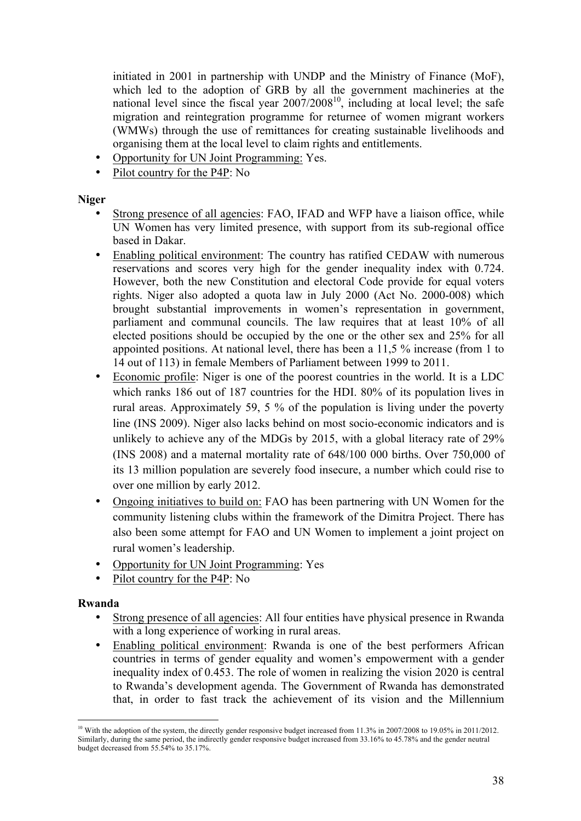initiated in 2001 in partnership with UNDP and the Ministry of Finance (MoF), which led to the adoption of GRB by all the government machineries at the national level since the fiscal year  $2007/2008^{10}$ , including at local level; the safe migration and reintegration programme for returnee of women migrant workers (WMWs) through the use of remittances for creating sustainable livelihoods and organising them at the local level to claim rights and entitlements.

- Opportunity for UN Joint Programming: Yes.
- Pilot country for the P4P: No

#### **Niger**

- Strong presence of all agencies: FAO, IFAD and WFP have a liaison office, while UN Women has very limited presence, with support from its sub-regional office based in Dakar.
- Enabling political environment: The country has ratified CEDAW with numerous reservations and scores very high for the gender inequality index with 0.724. However, both the new Constitution and electoral Code provide for equal voters rights. Niger also adopted a quota law in July 2000 (Act No. 2000-008) which brought substantial improvements in women's representation in government, parliament and communal councils. The law requires that at least 10% of all elected positions should be occupied by the one or the other sex and 25% for all appointed positions. At national level, there has been a 11,5 % increase (from 1 to 14 out of 113) in female Members of Parliament between 1999 to 2011.
- Economic profile: Niger is one of the poorest countries in the world. It is a LDC which ranks 186 out of 187 countries for the HDI. 80% of its population lives in rural areas. Approximately 59, 5 % of the population is living under the poverty line (INS 2009). Niger also lacks behind on most socio-economic indicators and is unlikely to achieve any of the MDGs by 2015, with a global literacy rate of 29% (INS 2008) and a maternal mortality rate of 648/100 000 births. Over 750,000 of its 13 million population are severely food insecure, a number which could rise to over one million by early 2012.
- Ongoing initiatives to build on: FAO has been partnering with UN Women for the community listening clubs within the framework of the Dimitra Project. There has also been some attempt for FAO and UN Women to implement a joint project on rural women's leadership.
- Opportunity for UN Joint Programming: Yes
- Pilot country for the P4P: No

#### **Rwanda**

- Strong presence of all agencies: All four entities have physical presence in Rwanda with a long experience of working in rural areas.
- Enabling political environment: Rwanda is one of the best performers African countries in terms of gender equality and women's empowerment with a gender inequality index of 0.453. The role of women in realizing the vision 2020 is central to Rwanda's development agenda. The Government of Rwanda has demonstrated that, in order to fast track the achievement of its vision and the Millennium

<sup>&</sup>lt;sup>10</sup> With the adoption of the system, the directly gender responsive budget increased from 11.3% in 2007/2008 to 19.05% in 2011/2012. Similarly, during the same period, the indirectly gender responsive budget increased from 33.16% to 45.78% and the gender neutral budget decreased from 55.54% to 35.17%.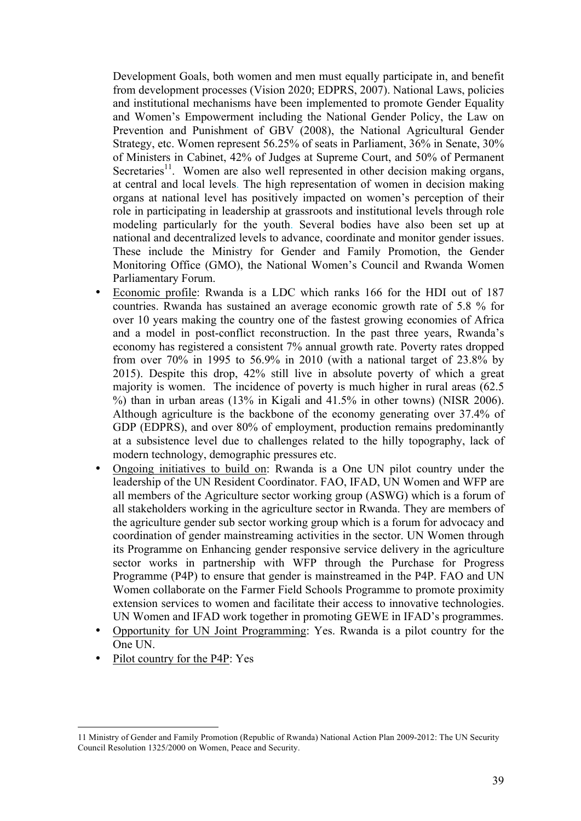Development Goals, both women and men must equally participate in, and benefit from development processes (Vision 2020; EDPRS, 2007). National Laws, policies and institutional mechanisms have been implemented to promote Gender Equality and Women's Empowerment including the National Gender Policy, the Law on Prevention and Punishment of GBV (2008), the National Agricultural Gender Strategy, etc. Women represent 56.25% of seats in Parliament, 36% in Senate, 30% of Ministers in Cabinet, 42% of Judges at Supreme Court, and 50% of Permanent Secretaries<sup>11</sup>. Women are also well represented in other decision making organs, at central and local levels. The high representation of women in decision making organs at national level has positively impacted on women's perception of their role in participating in leadership at grassroots and institutional levels through role modeling particularly for the youth. Several bodies have also been set up at national and decentralized levels to advance, coordinate and monitor gender issues. These include the Ministry for Gender and Family Promotion, the Gender Monitoring Office (GMO), the National Women's Council and Rwanda Women Parliamentary Forum.

- Economic profile: Rwanda is a LDC which ranks 166 for the HDI out of 187 countries. Rwanda has sustained an average economic growth rate of 5.8 % for over 10 years making the country one of the fastest growing economies of Africa and a model in post-conflict reconstruction. In the past three years, Rwanda's economy has registered a consistent 7% annual growth rate. Poverty rates dropped from over 70% in 1995 to 56.9% in 2010 (with a national target of 23.8% by 2015). Despite this drop, 42% still live in absolute poverty of which a great majority is women. The incidence of poverty is much higher in rural areas (62.5 %) than in urban areas (13% in Kigali and 41.5% in other towns) (NISR 2006). Although agriculture is the backbone of the economy generating over 37.4% of GDP (EDPRS), and over 80% of employment, production remains predominantly at a subsistence level due to challenges related to the hilly topography, lack of modern technology, demographic pressures etc.
- Ongoing initiatives to build on: Rwanda is a One UN pilot country under the leadership of the UN Resident Coordinator. FAO, IFAD, UN Women and WFP are all members of the Agriculture sector working group (ASWG) which is a forum of all stakeholders working in the agriculture sector in Rwanda. They are members of the agriculture gender sub sector working group which is a forum for advocacy and coordination of gender mainstreaming activities in the sector. UN Women through its Programme on Enhancing gender responsive service delivery in the agriculture sector works in partnership with WFP through the Purchase for Progress Programme (P4P) to ensure that gender is mainstreamed in the P4P. FAO and UN Women collaborate on the Farmer Field Schools Programme to promote proximity extension services to women and facilitate their access to innovative technologies. UN Women and IFAD work together in promoting GEWE in IFAD's programmes.
- Opportunity for UN Joint Programming: Yes. Rwanda is a pilot country for the One UN.
- Pilot country for the P4P: Yes

 <sup>11</sup> Ministry of Gender and Family Promotion (Republic of Rwanda) National Action Plan 2009-2012: The UN Security Council Resolution 1325/2000 on Women, Peace and Security.